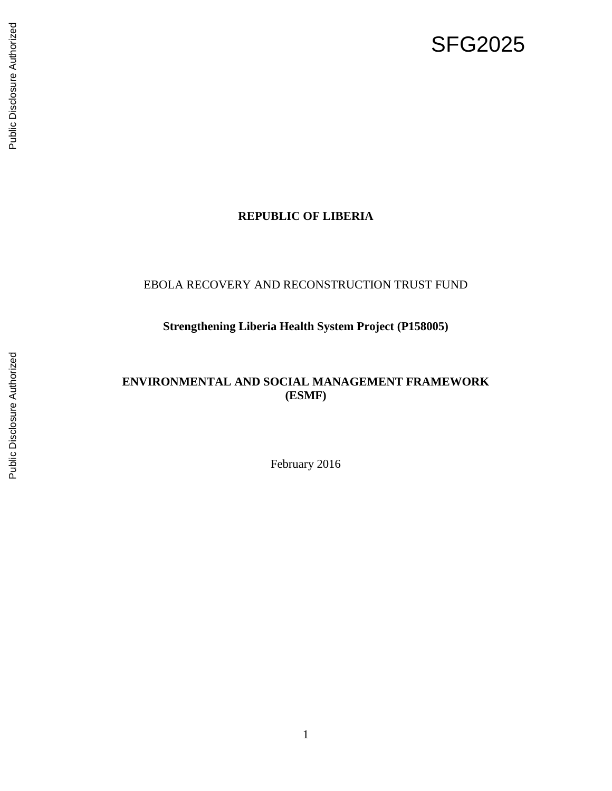# SFG2025

# Public Disclosure Authorized Public Disclosure Authorized

# **REPUBLIC OF LIBERIA**

### EBOLA RECOVERY AND RECONSTRUCTION TRUST FUND

# **Strengthening Liberia Health System Project (P158005)**

### **ENVIRONMENTAL AND SOCIAL MANAGEMENT FRAMEWORK (ESMF)**

February 2016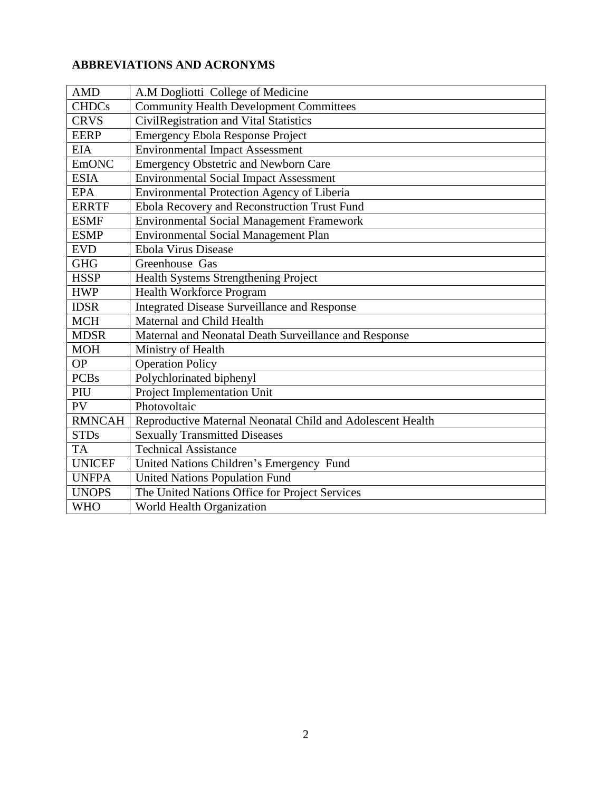### **ABBREVIATIONS AND ACRONYMS**

| <b>AMD</b>    | A.M Dogliotti College of Medicine                          |  |  |  |
|---------------|------------------------------------------------------------|--|--|--|
| <b>CHDCs</b>  | <b>Community Health Development Committees</b>             |  |  |  |
| <b>CRVS</b>   | CivilRegistration and Vital Statistics                     |  |  |  |
| <b>EERP</b>   | <b>Emergency Ebola Response Project</b>                    |  |  |  |
| <b>EIA</b>    | <b>Environmental Impact Assessment</b>                     |  |  |  |
| <b>EmONC</b>  | <b>Emergency Obstetric and Newborn Care</b>                |  |  |  |
| <b>ESIA</b>   | <b>Environmental Social Impact Assessment</b>              |  |  |  |
| <b>EPA</b>    | <b>Environmental Protection Agency of Liberia</b>          |  |  |  |
| <b>ERRTF</b>  | Ebola Recovery and Reconstruction Trust Fund               |  |  |  |
| <b>ESMF</b>   | <b>Environmental Social Management Framework</b>           |  |  |  |
| <b>ESMP</b>   | <b>Environmental Social Management Plan</b>                |  |  |  |
| <b>EVD</b>    | <b>Ebola Virus Disease</b>                                 |  |  |  |
| <b>GHG</b>    | Greenhouse Gas                                             |  |  |  |
| <b>HSSP</b>   | Health Systems Strengthening Project                       |  |  |  |
| <b>HWP</b>    | <b>Health Workforce Program</b>                            |  |  |  |
| <b>IDSR</b>   | <b>Integrated Disease Surveillance and Response</b>        |  |  |  |
| <b>MCH</b>    | Maternal and Child Health                                  |  |  |  |
| <b>MDSR</b>   | Maternal and Neonatal Death Surveillance and Response      |  |  |  |
| <b>MOH</b>    | Ministry of Health                                         |  |  |  |
| <b>OP</b>     | <b>Operation Policy</b>                                    |  |  |  |
| <b>PCBs</b>   | Polychlorinated biphenyl                                   |  |  |  |
| PIU           | Project Implementation Unit                                |  |  |  |
| PV            | Photovoltaic                                               |  |  |  |
| <b>RMNCAH</b> | Reproductive Maternal Neonatal Child and Adolescent Health |  |  |  |
| <b>STDs</b>   | <b>Sexually Transmitted Diseases</b>                       |  |  |  |
| <b>TA</b>     | <b>Technical Assistance</b>                                |  |  |  |
| <b>UNICEF</b> | United Nations Children's Emergency Fund                   |  |  |  |
| <b>UNFPA</b>  | <b>United Nations Population Fund</b>                      |  |  |  |
| <b>UNOPS</b>  | The United Nations Office for Project Services             |  |  |  |
| <b>WHO</b>    | World Health Organization                                  |  |  |  |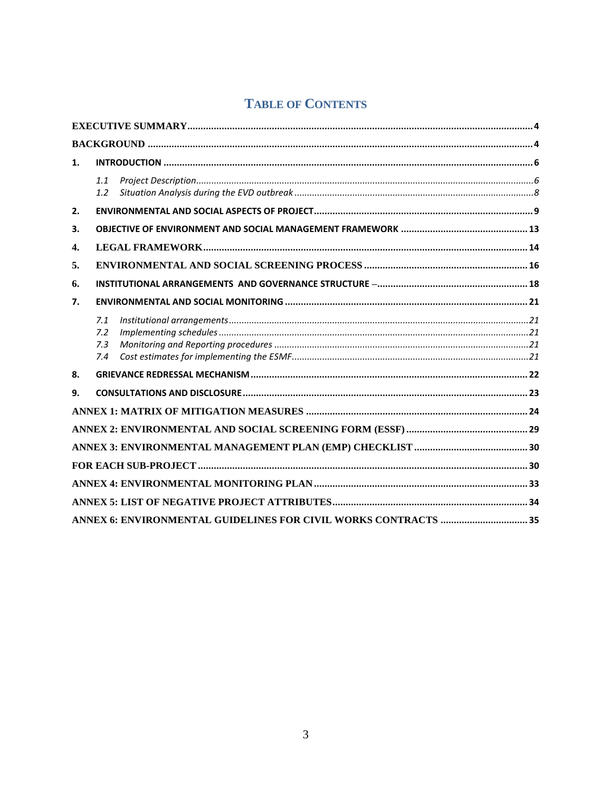# **TABLE OF CONTENTS**

| 1. |                          |  |  |
|----|--------------------------|--|--|
|    | 1.1<br>1.2               |  |  |
| 2. |                          |  |  |
| 3. |                          |  |  |
| 4. |                          |  |  |
| 5. |                          |  |  |
| 6. |                          |  |  |
| 7. |                          |  |  |
|    | 7.1<br>7.2<br>7.3<br>7.4 |  |  |
| 8. |                          |  |  |
| 9. |                          |  |  |
|    |                          |  |  |
|    |                          |  |  |
|    |                          |  |  |
|    |                          |  |  |
|    |                          |  |  |
|    |                          |  |  |
|    |                          |  |  |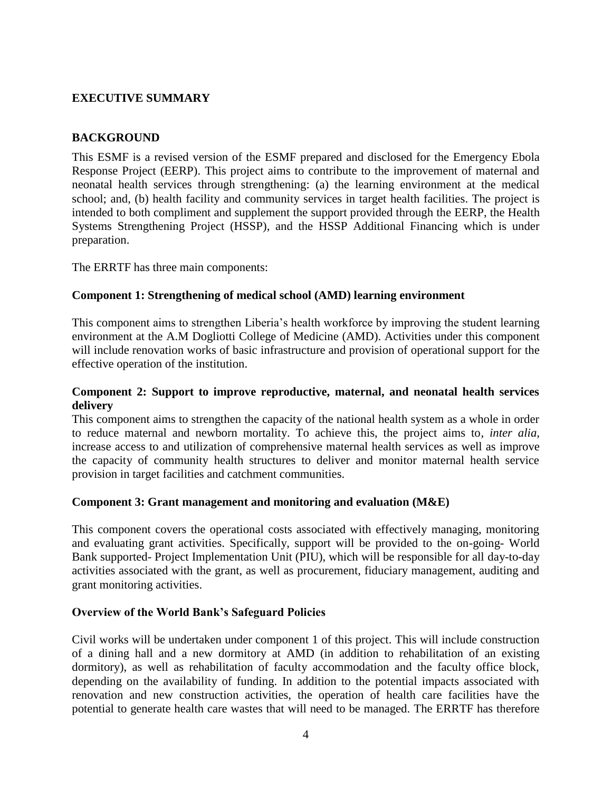### <span id="page-3-0"></span>**EXECUTIVE SUMMARY**

### <span id="page-3-1"></span>**BACKGROUND**

This ESMF is a revised version of the ESMF prepared and disclosed for the Emergency Ebola Response Project (EERP). This project aims to contribute to the improvement of maternal and neonatal health services through strengthening: (a) the learning environment at the medical school; and, (b) health facility and community services in target health facilities. The project is intended to both compliment and supplement the support provided through the EERP, the Health Systems Strengthening Project (HSSP), and the HSSP Additional Financing which is under preparation.

The ERRTF has three main components:

### **Component 1: Strengthening of medical school (AMD) learning environment**

This component aims to strengthen Liberia's health workforce by improving the student learning environment at the A.M Dogliotti College of Medicine (AMD). Activities under this component will include renovation works of basic infrastructure and provision of operational support for the effective operation of the institution.

### **Component 2: Support to improve reproductive, maternal, and neonatal health services delivery**

This component aims to strengthen the capacity of the national health system as a whole in order to reduce maternal and newborn mortality. To achieve this, the project aims to, *inter alia*, increase access to and utilization of comprehensive maternal health services as well as improve the capacity of community health structures to deliver and monitor maternal health service provision in target facilities and catchment communities.

### **Component 3: Grant management and monitoring and evaluation (M&E)**

This component covers the operational costs associated with effectively managing, monitoring and evaluating grant activities. Specifically, support will be provided to the on-going- World Bank supported- Project Implementation Unit (PIU), which will be responsible for all day-to-day activities associated with the grant, as well as procurement, fiduciary management, auditing and grant monitoring activities.

### **Overview of the World Bank's Safeguard Policies**

Civil works will be undertaken under component 1 of this project. This will include construction of a dining hall and a new dormitory at AMD (in addition to rehabilitation of an existing dormitory), as well as rehabilitation of faculty accommodation and the faculty office block, depending on the availability of funding. In addition to the potential impacts associated with renovation and new construction activities, the operation of health care facilities have the potential to generate health care wastes that will need to be managed. The ERRTF has therefore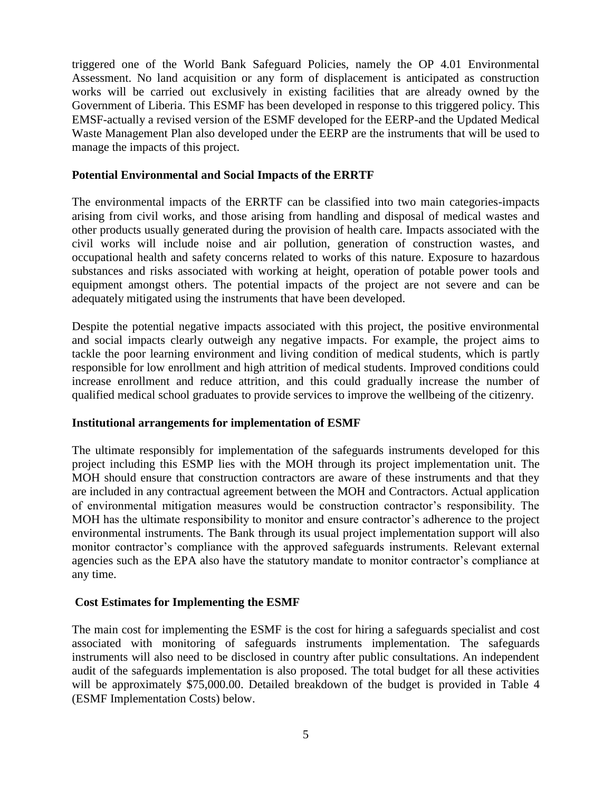triggered one of the World Bank Safeguard Policies, namely the OP 4.01 Environmental Assessment. No land acquisition or any form of displacement is anticipated as construction works will be carried out exclusively in existing facilities that are already owned by the Government of Liberia. This ESMF has been developed in response to this triggered policy. This EMSF-actually a revised version of the ESMF developed for the EERP-and the Updated Medical Waste Management Plan also developed under the EERP are the instruments that will be used to manage the impacts of this project.

### **Potential Environmental and Social Impacts of the ERRTF**

The environmental impacts of the ERRTF can be classified into two main categories-impacts arising from civil works, and those arising from handling and disposal of medical wastes and other products usually generated during the provision of health care. Impacts associated with the civil works will include noise and air pollution, generation of construction wastes, and occupational health and safety concerns related to works of this nature. Exposure to hazardous substances and risks associated with working at height, operation of potable power tools and equipment amongst others. The potential impacts of the project are not severe and can be adequately mitigated using the instruments that have been developed.

Despite the potential negative impacts associated with this project, the positive environmental and social impacts clearly outweigh any negative impacts. For example, the project aims to tackle the poor learning environment and living condition of medical students, which is partly responsible for low enrollment and high attrition of medical students. Improved conditions could increase enrollment and reduce attrition, and this could gradually increase the number of qualified medical school graduates to provide services to improve the wellbeing of the citizenry.

### **Institutional arrangements for implementation of ESMF**

The ultimate responsibly for implementation of the safeguards instruments developed for this project including this ESMP lies with the MOH through its project implementation unit. The MOH should ensure that construction contractors are aware of these instruments and that they are included in any contractual agreement between the MOH and Contractors. Actual application of environmental mitigation measures would be construction contractor's responsibility. The MOH has the ultimate responsibility to monitor and ensure contractor's adherence to the project environmental instruments. The Bank through its usual project implementation support will also monitor contractor's compliance with the approved safeguards instruments. Relevant external agencies such as the EPA also have the statutory mandate to monitor contractor's compliance at any time.

### **Cost Estimates for Implementing the ESMF**

The main cost for implementing the ESMF is the cost for hiring a safeguards specialist and cost associated with monitoring of safeguards instruments implementation. The safeguards instruments will also need to be disclosed in country after public consultations. An independent audit of the safeguards implementation is also proposed. The total budget for all these activities will be approximately \$75,000.00. Detailed breakdown of the budget is provided in Table 4 (ESMF Implementation Costs) below.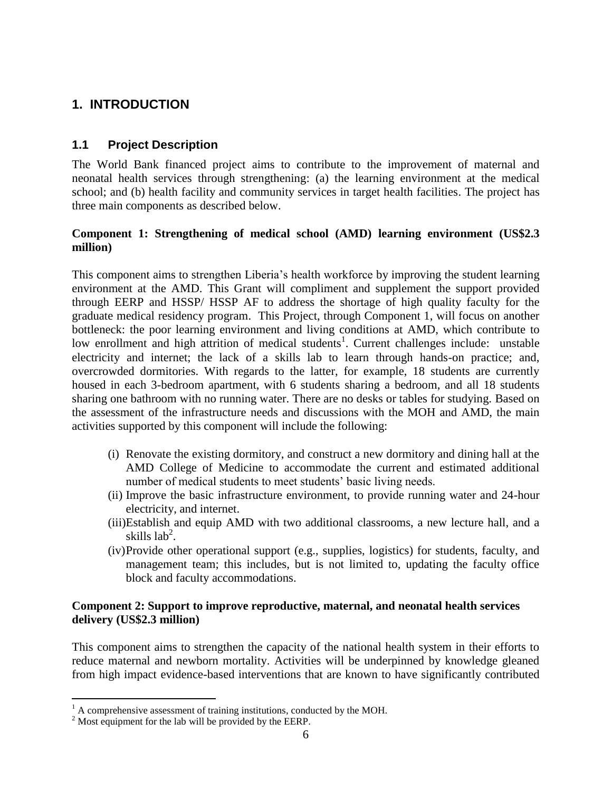# <span id="page-5-0"></span>**1. INTRODUCTION**

### <span id="page-5-1"></span>**1.1 Project Description**

The World Bank financed project aims to contribute to the improvement of maternal and neonatal health services through strengthening: (a) the learning environment at the medical school; and (b) health facility and community services in target health facilities. The project has three main components as described below.

### **Component 1: Strengthening of medical school (AMD) learning environment (US\$2.3 million)**

This component aims to strengthen Liberia's health workforce by improving the student learning environment at the AMD. This Grant will compliment and supplement the support provided through EERP and HSSP/ HSSP AF to address the shortage of high quality faculty for the graduate medical residency program. This Project, through Component 1, will focus on another bottleneck: the poor learning environment and living conditions at AMD, which contribute to low enrollment and high attrition of medical students<sup>1</sup>. Current challenges include: unstable electricity and internet; the lack of a skills lab to learn through hands-on practice; and, overcrowded dormitories. With regards to the latter, for example, 18 students are currently housed in each 3-bedroom apartment, with 6 students sharing a bedroom, and all 18 students sharing one bathroom with no running water. There are no desks or tables for studying. Based on the assessment of the infrastructure needs and discussions with the MOH and AMD, the main activities supported by this component will include the following:

- (i) Renovate the existing dormitory, and construct a new dormitory and dining hall at the AMD College of Medicine to accommodate the current and estimated additional number of medical students to meet students' basic living needs.
- (ii) Improve the basic infrastructure environment, to provide running water and 24-hour electricity, and internet.
- (iii)Establish and equip AMD with two additional classrooms, a new lecture hall, and a skills  $lab<sup>2</sup>$ .
- (iv)Provide other operational support (e.g., supplies, logistics) for students, faculty, and management team; this includes, but is not limited to, updating the faculty office block and faculty accommodations.

### **Component 2: Support to improve reproductive, maternal, and neonatal health services delivery (US\$2.3 million)**

This component aims to strengthen the capacity of the national health system in their efforts to reduce maternal and newborn mortality. Activities will be underpinned by knowledge gleaned from high impact evidence-based interventions that are known to have significantly contributed

 $\overline{a}$ 

 $<sup>1</sup>$  A comprehensive assessment of training institutions, conducted by the MOH.</sup>

<sup>&</sup>lt;sup>2</sup> Most equipment for the lab will be provided by the EERP.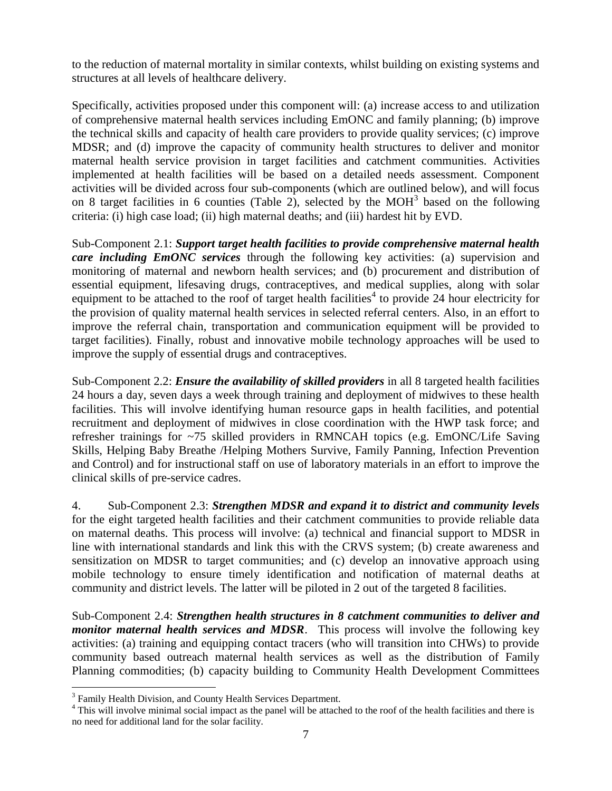to the reduction of maternal mortality in similar contexts, whilst building on existing systems and structures at all levels of healthcare delivery.

Specifically, activities proposed under this component will: (a) increase access to and utilization of comprehensive maternal health services including EmONC and family planning; (b) improve the technical skills and capacity of health care providers to provide quality services; (c) improve MDSR; and (d) improve the capacity of community health structures to deliver and monitor maternal health service provision in target facilities and catchment communities. Activities implemented at health facilities will be based on a detailed needs assessment. Component activities will be divided across four sub-components (which are outlined below), and will focus on 8 target facilities in 6 counties (Table 2), selected by the MOH<sup>3</sup> based on the following criteria: (i) high case load; (ii) high maternal deaths; and (iii) hardest hit by EVD.

Sub-Component 2.1: *Support target health facilities to provide comprehensive maternal health care including EmONC services* through the following key activities: (a) supervision and monitoring of maternal and newborn health services; and (b) procurement and distribution of essential equipment, lifesaving drugs, contraceptives, and medical supplies, along with solar equipment to be attached to the roof of target health facilities<sup>4</sup> to provide 24 hour electricity for the provision of quality maternal health services in selected referral centers. Also, in an effort to improve the referral chain, transportation and communication equipment will be provided to target facilities). Finally, robust and innovative mobile technology approaches will be used to improve the supply of essential drugs and contraceptives.

Sub-Component 2.2: *Ensure the availability of skilled providers* in all 8 targeted health facilities 24 hours a day, seven days a week through training and deployment of midwives to these health facilities. This will involve identifying human resource gaps in health facilities, and potential recruitment and deployment of midwives in close coordination with the HWP task force; and refresher trainings for ~75 skilled providers in RMNCAH topics (e.g. EmONC/Life Saving Skills, Helping Baby Breathe /Helping Mothers Survive, Family Panning, Infection Prevention and Control) and for instructional staff on use of laboratory materials in an effort to improve the clinical skills of pre-service cadres.

4. Sub-Component 2.3: *Strengthen MDSR and expand it to district and community levels* for the eight targeted health facilities and their catchment communities to provide reliable data on maternal deaths. This process will involve: (a) technical and financial support to MDSR in line with international standards and link this with the CRVS system; (b) create awareness and sensitization on MDSR to target communities; and (c) develop an innovative approach using mobile technology to ensure timely identification and notification of maternal deaths at community and district levels. The latter will be piloted in 2 out of the targeted 8 facilities.

Sub-Component 2.4: *Strengthen health structures in 8 catchment communities to deliver and monitor maternal health services and MDSR*. This process will involve the following key activities: (a) training and equipping contact tracers (who will transition into CHWs) to provide community based outreach maternal health services as well as the distribution of Family Planning commodities; (b) capacity building to Community Health Development Committees

 $\overline{a}$ 

<sup>&</sup>lt;sup>3</sup> Family Health Division, and County Health Services Department.

<sup>&</sup>lt;sup>4</sup> This will involve minimal social impact as the panel will be attached to the roof of the health facilities and there is no need for additional land for the solar facility.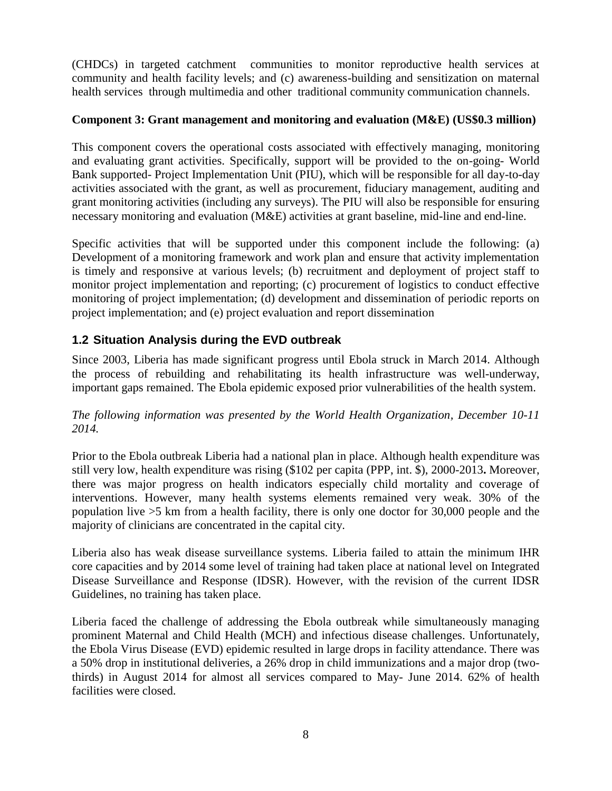(CHDCs) in targeted catchment communities to monitor reproductive health services at community and health facility levels; and (c) awareness-building and sensitization on maternal health services through multimedia and other traditional community communication channels.

### **Component 3: Grant management and monitoring and evaluation (M&E) (US\$0.3 million)**

This component covers the operational costs associated with effectively managing, monitoring and evaluating grant activities. Specifically, support will be provided to the on-going- World Bank supported- Project Implementation Unit (PIU), which will be responsible for all day-to-day activities associated with the grant, as well as procurement, fiduciary management, auditing and grant monitoring activities (including any surveys). The PIU will also be responsible for ensuring necessary monitoring and evaluation (M&E) activities at grant baseline, mid-line and end-line.

Specific activities that will be supported under this component include the following: (a) Development of a monitoring framework and work plan and ensure that activity implementation is timely and responsive at various levels; (b) recruitment and deployment of project staff to monitor project implementation and reporting; (c) procurement of logistics to conduct effective monitoring of project implementation; (d) development and dissemination of periodic reports on project implementation; and (e) project evaluation and report dissemination

# <span id="page-7-0"></span>**1.2 Situation Analysis during the EVD outbreak**

Since 2003, Liberia has made significant progress until Ebola struck in March 2014. Although the process of rebuilding and rehabilitating its health infrastructure was well-underway, important gaps remained. The Ebola epidemic exposed prior vulnerabilities of the health system.

*The following information was presented by the World Health Organization, December 10-11 2014.*

Prior to the Ebola outbreak Liberia had a national plan in place. Although health expenditure was still very low, health expenditure was rising (\$102 per capita (PPP, int. \$), 2000-2013**.** Moreover, there was major progress on health indicators especially child mortality and coverage of interventions. However, many health systems elements remained very weak. 30% of the population live >5 km from a health facility, there is only one doctor for 30,000 people and the majority of clinicians are concentrated in the capital city.

Liberia also has weak disease surveillance systems. Liberia failed to attain the minimum IHR core capacities and by 2014 some level of training had taken place at national level on Integrated Disease Surveillance and Response (IDSR). However, with the revision of the current IDSR Guidelines, no training has taken place.

Liberia faced the challenge of addressing the Ebola outbreak while simultaneously managing prominent Maternal and Child Health (MCH) and infectious disease challenges. Unfortunately, the Ebola Virus Disease (EVD) epidemic resulted in large drops in facility attendance. There was a 50% drop in institutional deliveries, a 26% drop in child immunizations and a major drop (twothirds) in August 2014 for almost all services compared to May- June 2014. 62% of health facilities were closed.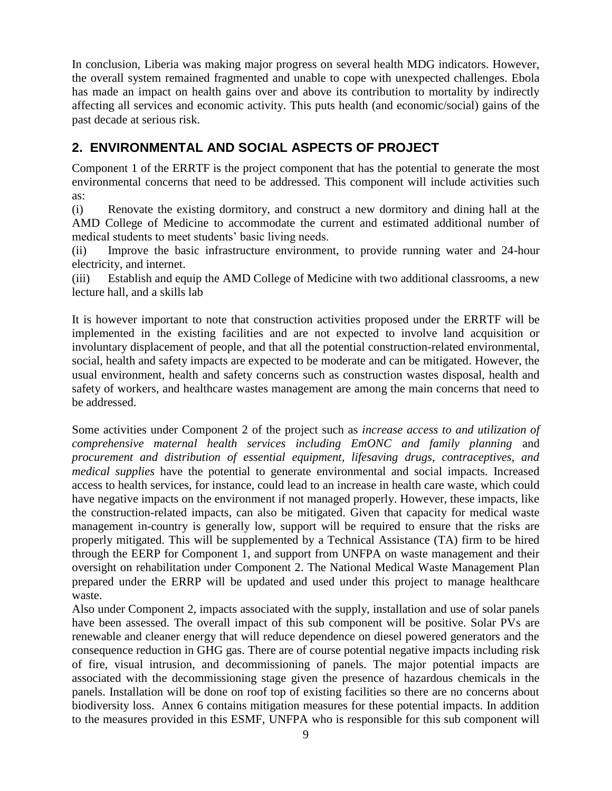In conclusion, Liberia was making major progress on several health MDG indicators. However, the overall system remained fragmented and unable to cope with unexpected challenges. Ebola has made an impact on health gains over and above its contribution to mortality by indirectly affecting all services and economic activity. This puts health (and economic/social) gains of the past decade at serious risk.

# <span id="page-8-0"></span>**2. ENVIRONMENTAL AND SOCIAL ASPECTS OF PROJECT**

Component 1 of the ERRTF is the project component that has the potential to generate the most environmental concerns that need to be addressed. This component will include activities such as:

(i) Renovate the existing dormitory, and construct a new dormitory and dining hall at the AMD College of Medicine to accommodate the current and estimated additional number of medical students to meet students' basic living needs.

(ii) Improve the basic infrastructure environment, to provide running water and 24-hour electricity, and internet.

(iii) Establish and equip the AMD College of Medicine with two additional classrooms, a new lecture hall, and a skills lab

It is however important to note that construction activities proposed under the ERRTF will be implemented in the existing facilities and are not expected to involve land acquisition or involuntary displacement of people, and that all the potential construction-related environmental, social, health and safety impacts are expected to be moderate and can be mitigated. However, the usual environment, health and safety concerns such as construction wastes disposal, health and safety of workers, and healthcare wastes management are among the main concerns that need to be addressed.

Some activities under Component 2 of the project such as *increase access to and utilization of comprehensive maternal health services including EmONC and family planning* and *procurement and distribution of essential equipment, lifesaving drugs, contraceptives, and medical supplies* have the potential to generate environmental and social impacts. Increased access to health services, for instance, could lead to an increase in health care waste, which could have negative impacts on the environment if not managed properly. However, these impacts, like the construction-related impacts, can also be mitigated. Given that capacity for medical waste management in-country is generally low, support will be required to ensure that the risks are properly mitigated. This will be supplemented by a Technical Assistance (TA) firm to be hired through the EERP for Component 1, and support from UNFPA on waste management and their oversight on rehabilitation under Component 2. The National Medical Waste Management Plan prepared under the ERRP will be updated and used under this project to manage healthcare waste.

Also under Component 2, impacts associated with the supply, installation and use of solar panels have been assessed. The overall impact of this sub component will be positive. Solar PVs are renewable and cleaner energy that will reduce dependence on diesel powered generators and the consequence reduction in GHG gas. There are of course potential negative impacts including risk of fire, visual intrusion, and decommissioning of panels. The major potential impacts are associated with the decommissioning stage given the presence of hazardous chemicals in the panels. Installation will be done on roof top of existing facilities so there are no concerns about biodiversity loss. Annex 6 contains mitigation measures for these potential impacts. In addition to the measures provided in this ESMF, UNFPA who is responsible for this sub component will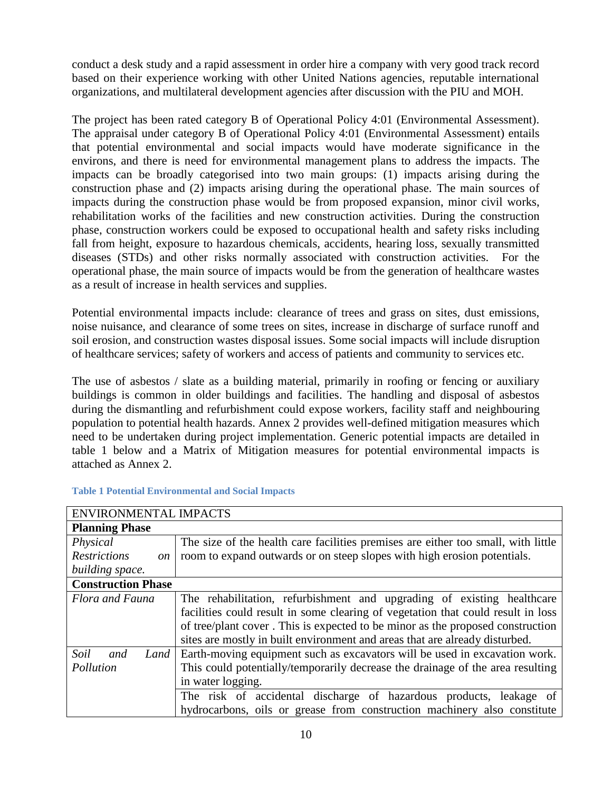conduct a desk study and a rapid assessment in order hire a company with very good track record based on their experience working with other United Nations agencies, reputable international organizations, and multilateral development agencies after discussion with the PIU and MOH.

The project has been rated category B of Operational Policy 4:01 (Environmental Assessment). The appraisal under category B of Operational Policy 4:01 (Environmental Assessment) entails that potential environmental and social impacts would have moderate significance in the environs, and there is need for environmental management plans to address the impacts. The impacts can be broadly categorised into two main groups: (1) impacts arising during the construction phase and (2) impacts arising during the operational phase. The main sources of impacts during the construction phase would be from proposed expansion, minor civil works, rehabilitation works of the facilities and new construction activities. During the construction phase, construction workers could be exposed to occupational health and safety risks including fall from height, exposure to hazardous chemicals, accidents, hearing loss, sexually transmitted diseases (STDs) and other risks normally associated with construction activities. For the operational phase, the main source of impacts would be from the generation of healthcare wastes as a result of increase in health services and supplies.

Potential environmental impacts include: clearance of trees and grass on sites, dust emissions, noise nuisance, and clearance of some trees on sites, increase in discharge of surface runoff and soil erosion, and construction wastes disposal issues. Some social impacts will include disruption of healthcare services; safety of workers and access of patients and community to services etc.

The use of asbestos / slate as a building material, primarily in roofing or fencing or auxiliary buildings is common in older buildings and facilities. The handling and disposal of asbestos during the dismantling and refurbishment could expose workers, facility staff and neighbouring population to potential health hazards. Annex 2 provides well-defined mitigation measures which need to be undertaken during project implementation. Generic potential impacts are detailed in table 1 below and a Matrix of Mitigation measures for potential environmental impacts is attached as Annex 2.

| <b>ENVIRONMENTAL IMPACTS</b>         |                                                                                   |  |  |  |
|--------------------------------------|-----------------------------------------------------------------------------------|--|--|--|
| <b>Planning Phase</b>                |                                                                                   |  |  |  |
| Physical                             | The size of the health care facilities premises are either too small, with little |  |  |  |
| <b>Restrictions</b><br><sub>on</sub> | room to expand outwards or on steep slopes with high erosion potentials.          |  |  |  |
| building space.                      |                                                                                   |  |  |  |
| <b>Construction Phase</b>            |                                                                                   |  |  |  |
| Flora and Fauna                      | The rehabilitation, refurbishment and upgrading of existing healthcare            |  |  |  |
|                                      | facilities could result in some clearing of vegetation that could result in loss  |  |  |  |
|                                      | of tree/plant cover. This is expected to be minor as the proposed construction    |  |  |  |
|                                      | sites are mostly in built environment and areas that are already disturbed.       |  |  |  |
| Soil<br>Land<br>and                  | Earth-moving equipment such as excavators will be used in excavation work.        |  |  |  |
| Pollution                            | This could potentially/temporarily decrease the drainage of the area resulting    |  |  |  |
|                                      | in water logging.                                                                 |  |  |  |
|                                      | The risk of accidental discharge of hazardous products, leakage of                |  |  |  |
|                                      | hydrocarbons, oils or grease from construction machinery also constitute          |  |  |  |

### **Table 1 Potential Environmental and Social Impacts**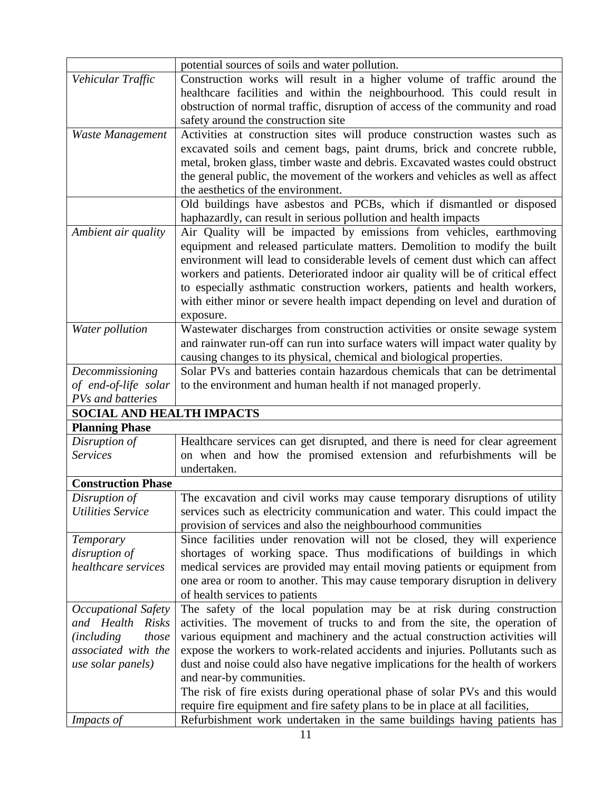|                                  | potential sources of soils and water pollution.                                                                                                           |  |  |
|----------------------------------|-----------------------------------------------------------------------------------------------------------------------------------------------------------|--|--|
| Vehicular Traffic                | Construction works will result in a higher volume of traffic around the                                                                                   |  |  |
|                                  | healthcare facilities and within the neighbourhood. This could result in                                                                                  |  |  |
|                                  | obstruction of normal traffic, disruption of access of the community and road                                                                             |  |  |
|                                  | safety around the construction site                                                                                                                       |  |  |
| Waste Management                 | Activities at construction sites will produce construction wastes such as                                                                                 |  |  |
|                                  | excavated soils and cement bags, paint drums, brick and concrete rubble,                                                                                  |  |  |
|                                  | metal, broken glass, timber waste and debris. Excavated wastes could obstruct                                                                             |  |  |
|                                  | the general public, the movement of the workers and vehicles as well as affect                                                                            |  |  |
|                                  | the aesthetics of the environment.                                                                                                                        |  |  |
|                                  | Old buildings have asbestos and PCBs, which if dismantled or disposed                                                                                     |  |  |
|                                  | haphazardly, can result in serious pollution and health impacts                                                                                           |  |  |
| Ambient air quality              | Air Quality will be impacted by emissions from vehicles, earthmoving                                                                                      |  |  |
|                                  | equipment and released particulate matters. Demolition to modify the built                                                                                |  |  |
|                                  | environment will lead to considerable levels of cement dust which can affect                                                                              |  |  |
|                                  | workers and patients. Deteriorated indoor air quality will be of critical effect                                                                          |  |  |
|                                  | to especially asthmatic construction workers, patients and health workers,                                                                                |  |  |
|                                  | with either minor or severe health impact depending on level and duration of                                                                              |  |  |
|                                  | exposure.                                                                                                                                                 |  |  |
| Water pollution                  | Wastewater discharges from construction activities or onsite sewage system                                                                                |  |  |
|                                  | and rainwater run-off can run into surface waters will impact water quality by                                                                            |  |  |
|                                  | causing changes to its physical, chemical and biological properties.                                                                                      |  |  |
| Decommissioning                  | Solar PVs and batteries contain hazardous chemicals that can be detrimental                                                                               |  |  |
| of end-of-life solar             | to the environment and human health if not managed properly.                                                                                              |  |  |
| PVs and batteries                |                                                                                                                                                           |  |  |
| <b>SOCIAL AND HEALTH IMPACTS</b> |                                                                                                                                                           |  |  |
| <b>Planning Phase</b>            |                                                                                                                                                           |  |  |
| Disruption of                    | Healthcare services can get disrupted, and there is need for clear agreement                                                                              |  |  |
| <b>Services</b>                  | on when and how the promised extension and refurbishments will be                                                                                         |  |  |
|                                  | undertaken.                                                                                                                                               |  |  |
| <b>Construction Phase</b>        |                                                                                                                                                           |  |  |
| Disruption of                    | The excavation and civil works may cause temporary disruptions of utility                                                                                 |  |  |
| <b>Utilities Service</b>         | services such as electricity communication and water. This could impact the                                                                               |  |  |
|                                  | provision of services and also the neighbourhood communities                                                                                              |  |  |
| Temporary                        | Since facilities under renovation will not be closed, they will experience                                                                                |  |  |
| disruption of                    | shortages of working space. Thus modifications of buildings in which                                                                                      |  |  |
| healthcare services              | medical services are provided may entail moving patients or equipment from                                                                                |  |  |
|                                  | one area or room to another. This may cause temporary disruption in delivery                                                                              |  |  |
|                                  | of health services to patients                                                                                                                            |  |  |
| Occupational Safety              | The safety of the local population may be at risk during construction                                                                                     |  |  |
| and Health Risks                 | activities. The movement of trucks to and from the site, the operation of                                                                                 |  |  |
| <i>(including)</i><br>those      | various equipment and machinery and the actual construction activities will                                                                               |  |  |
| associated with the              | expose the workers to work-related accidents and injuries. Pollutants such as                                                                             |  |  |
| use solar panels)                | dust and noise could also have negative implications for the health of workers                                                                            |  |  |
|                                  | and near-by communities.                                                                                                                                  |  |  |
|                                  | The risk of fire exists during operational phase of solar PVs and this would                                                                              |  |  |
|                                  |                                                                                                                                                           |  |  |
|                                  | require fire equipment and fire safety plans to be in place at all facilities,<br>Refurbishment work undertaken in the same buildings having patients has |  |  |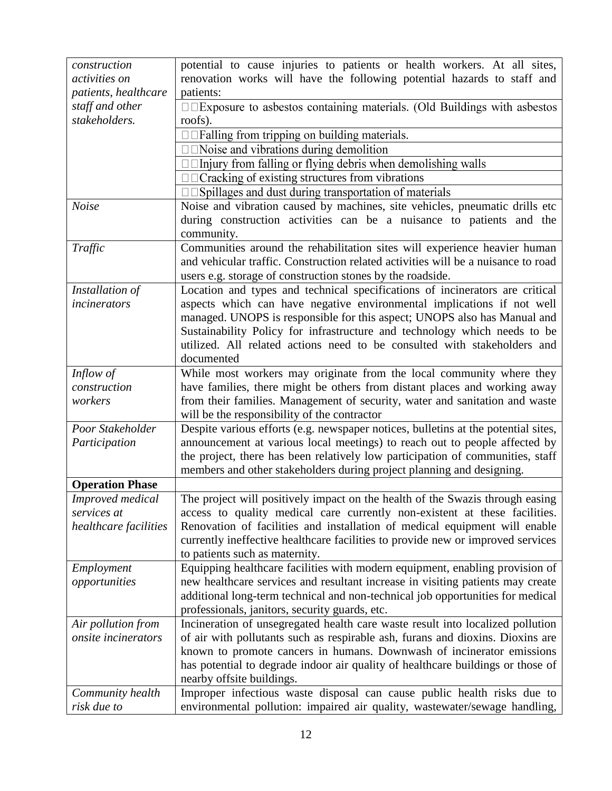| construction               | potential to cause injuries to patients or health workers. At all sites,           |  |  |  |
|----------------------------|------------------------------------------------------------------------------------|--|--|--|
| activities on              | renovation works will have the following potential hazards to staff and            |  |  |  |
| patients, healthcare       | patients:                                                                          |  |  |  |
|                            |                                                                                    |  |  |  |
| staff and other            | <b>IDExposure to asbestos containing materials. (Old Buildings with asbestos</b>   |  |  |  |
| stakeholders.              | roofs).                                                                            |  |  |  |
|                            | $\Box$ $\Box$ Falling from tripping on building materials.                         |  |  |  |
|                            | $\square$ $\square$ Noise and vibrations during demolition                         |  |  |  |
|                            | $\Box$ Injury from falling or flying debris when demolishing walls                 |  |  |  |
|                            | □□Cracking of existing structures from vibrations                                  |  |  |  |
|                            | □□Spillages and dust during transportation of materials                            |  |  |  |
| <b>Noise</b>               | Noise and vibration caused by machines, site vehicles, pneumatic drills etc        |  |  |  |
|                            | during construction activities can be a nuisance to patients and the               |  |  |  |
|                            | community.                                                                         |  |  |  |
| Traffic                    | Communities around the rehabilitation sites will experience heavier human          |  |  |  |
|                            | and vehicular traffic. Construction related activities will be a nuisance to road  |  |  |  |
|                            | users e.g. storage of construction stones by the roadside.                         |  |  |  |
| Installation of            | Location and types and technical specifications of incinerators are critical       |  |  |  |
| incinerators               | aspects which can have negative environmental implications if not well             |  |  |  |
|                            | managed. UNOPS is responsible for this aspect; UNOPS also has Manual and           |  |  |  |
|                            |                                                                                    |  |  |  |
|                            | Sustainability Policy for infrastructure and technology which needs to be          |  |  |  |
|                            | utilized. All related actions need to be consulted with stakeholders and           |  |  |  |
|                            | documented                                                                         |  |  |  |
| Inflow of                  | While most workers may originate from the local community where they               |  |  |  |
| construction               | have families, there might be others from distant places and working away          |  |  |  |
| workers                    | from their families. Management of security, water and sanitation and waste        |  |  |  |
|                            | will be the responsibility of the contractor                                       |  |  |  |
| Poor Stakeholder           | Despite various efforts (e.g. newspaper notices, bulletins at the potential sites, |  |  |  |
| Participation              | announcement at various local meetings) to reach out to people affected by         |  |  |  |
|                            | the project, there has been relatively low participation of communities, staff     |  |  |  |
|                            | members and other stakeholders during project planning and designing.              |  |  |  |
| <b>Operation Phase</b>     |                                                                                    |  |  |  |
| Improved medical           | The project will positively impact on the health of the Swazis through easing      |  |  |  |
| services at                | access to quality medical care currently non-existent at these facilities.         |  |  |  |
| healthcare facilities      | Renovation of facilities and installation of medical equipment will enable         |  |  |  |
|                            | currently ineffective healthcare facilities to provide new or improved services    |  |  |  |
|                            | to patients such as maternity.                                                     |  |  |  |
| Employment                 | Equipping healthcare facilities with modern equipment, enabling provision of       |  |  |  |
| opportunities              | new healthcare services and resultant increase in visiting patients may create     |  |  |  |
|                            | additional long-term technical and non-technical job opportunities for medical     |  |  |  |
|                            | professionals, janitors, security guards, etc.                                     |  |  |  |
| Air pollution from         | Incineration of unsegregated health care waste result into localized pollution     |  |  |  |
|                            |                                                                                    |  |  |  |
| <i>onsite incinerators</i> | of air with pollutants such as respirable ash, furans and dioxins. Dioxins are     |  |  |  |
|                            | known to promote cancers in humans. Downwash of incinerator emissions              |  |  |  |
|                            | has potential to degrade indoor air quality of healthcare buildings or those of    |  |  |  |
|                            | nearby offsite buildings.                                                          |  |  |  |
| Community health           | Improper infectious waste disposal can cause public health risks due to            |  |  |  |
| risk due to                | environmental pollution: impaired air quality, wastewater/sewage handling,         |  |  |  |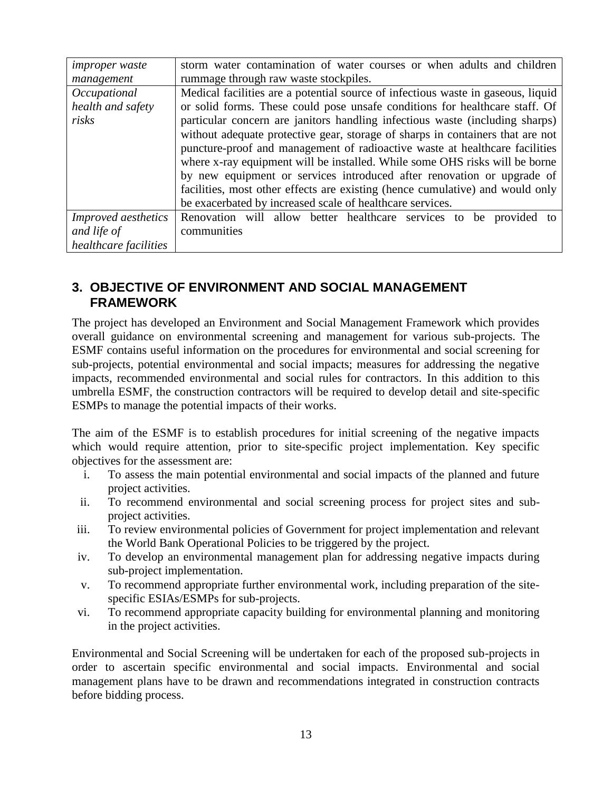| <i>improper</i> waste      | storm water contamination of water courses or when adults and children           |  |  |  |  |
|----------------------------|----------------------------------------------------------------------------------|--|--|--|--|
| management                 | rummage through raw waste stockpiles.                                            |  |  |  |  |
| Occupational               | Medical facilities are a potential source of infectious waste in gaseous, liquid |  |  |  |  |
| health and safety          | or solid forms. These could pose unsafe conditions for healthcare staff. Of      |  |  |  |  |
| risks                      | particular concern are janitors handling infectious waste (including sharps)     |  |  |  |  |
|                            | without adequate protective gear, storage of sharps in containers that are not   |  |  |  |  |
|                            | puncture-proof and management of radioactive waste at healthcare facilities      |  |  |  |  |
|                            | where x-ray equipment will be installed. While some OHS risks will be borne      |  |  |  |  |
|                            | by new equipment or services introduced after renovation or upgrade of           |  |  |  |  |
|                            | facilities, most other effects are existing (hence cumulative) and would only    |  |  |  |  |
|                            | be exacerbated by increased scale of healthcare services.                        |  |  |  |  |
| <i>Improved aesthetics</i> | Renovation will allow better healthcare services to be provided to               |  |  |  |  |
| and life of                | communities                                                                      |  |  |  |  |
| healthcare facilities      |                                                                                  |  |  |  |  |

# <span id="page-12-0"></span>**3. OBJECTIVE OF ENVIRONMENT AND SOCIAL MANAGEMENT FRAMEWORK**

The project has developed an Environment and Social Management Framework which provides overall guidance on environmental screening and management for various sub-projects. The ESMF contains useful information on the procedures for environmental and social screening for sub-projects, potential environmental and social impacts; measures for addressing the negative impacts, recommended environmental and social rules for contractors. In this addition to this umbrella ESMF, the construction contractors will be required to develop detail and site-specific ESMPs to manage the potential impacts of their works.

The aim of the ESMF is to establish procedures for initial screening of the negative impacts which would require attention, prior to site-specific project implementation. Key specific objectives for the assessment are:

- i. To assess the main potential environmental and social impacts of the planned and future project activities.
- ii. To recommend environmental and social screening process for project sites and subproject activities.
- iii. To review environmental policies of Government for project implementation and relevant the World Bank Operational Policies to be triggered by the project.
- iv. To develop an environmental management plan for addressing negative impacts during sub-project implementation.
- v. To recommend appropriate further environmental work, including preparation of the sitespecific ESIAs/ESMPs for sub-projects.
- vi. To recommend appropriate capacity building for environmental planning and monitoring in the project activities.

Environmental and Social Screening will be undertaken for each of the proposed sub-projects in order to ascertain specific environmental and social impacts. Environmental and social management plans have to be drawn and recommendations integrated in construction contracts before bidding process.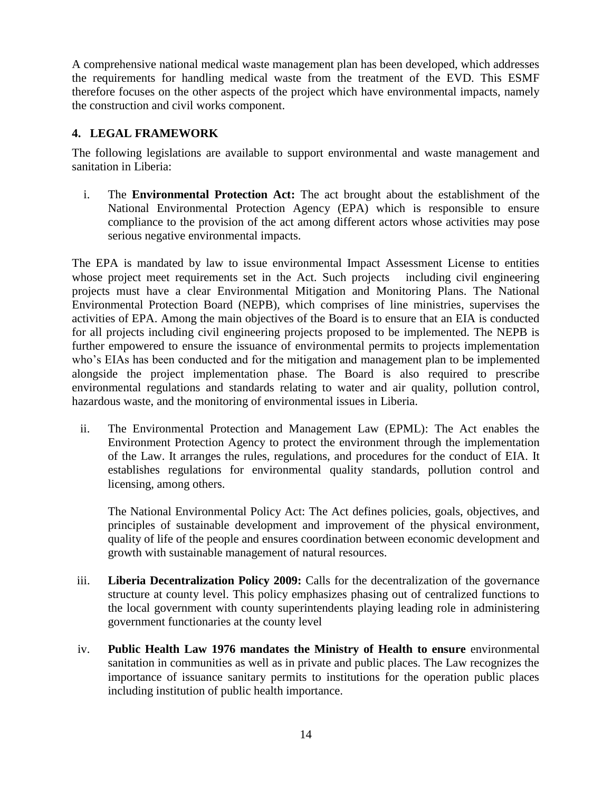A comprehensive national medical waste management plan has been developed, which addresses the requirements for handling medical waste from the treatment of the EVD. This ESMF therefore focuses on the other aspects of the project which have environmental impacts, namely the construction and civil works component.

### <span id="page-13-0"></span>**4. LEGAL FRAMEWORK**

The following legislations are available to support environmental and waste management and sanitation in Liberia:

i. The **Environmental Protection Act:** The act brought about the establishment of the National Environmental Protection Agency (EPA) which is responsible to ensure compliance to the provision of the act among different actors whose activities may pose serious negative environmental impacts.

The EPA is mandated by law to issue environmental Impact Assessment License to entities whose project meet requirements set in the Act. Such projects including civil engineering projects must have a clear Environmental Mitigation and Monitoring Plans. The National Environmental Protection Board (NEPB), which comprises of line ministries, supervises the activities of EPA. Among the main objectives of the Board is to ensure that an EIA is conducted for all projects including civil engineering projects proposed to be implemented. The NEPB is further empowered to ensure the issuance of environmental permits to projects implementation who's EIAs has been conducted and for the mitigation and management plan to be implemented alongside the project implementation phase. The Board is also required to prescribe environmental regulations and standards relating to water and air quality, pollution control, hazardous waste, and the monitoring of environmental issues in Liberia.

ii. The Environmental Protection and Management Law (EPML): The Act enables the Environment Protection Agency to protect the environment through the implementation of the Law. It arranges the rules, regulations, and procedures for the conduct of EIA. It establishes regulations for environmental quality standards, pollution control and licensing, among others.

The National Environmental Policy Act: The Act defines policies, goals, objectives, and principles of sustainable development and improvement of the physical environment, quality of life of the people and ensures coordination between economic development and growth with sustainable management of natural resources.

- iii. **Liberia Decentralization Policy 2009:** Calls for the decentralization of the governance structure at county level. This policy emphasizes phasing out of centralized functions to the local government with county superintendents playing leading role in administering government functionaries at the county level
- iv. **Public Health Law 1976 mandates the Ministry of Health to ensure** environmental sanitation in communities as well as in private and public places. The Law recognizes the importance of issuance sanitary permits to institutions for the operation public places including institution of public health importance.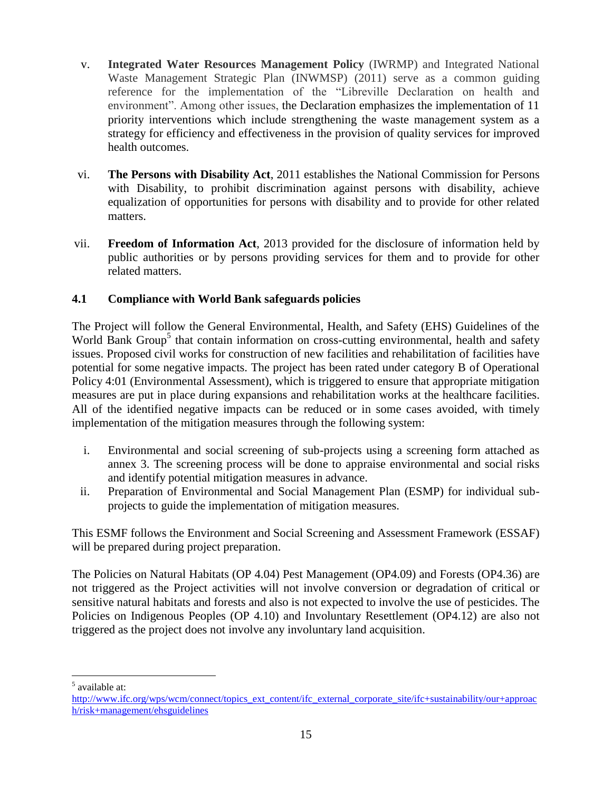- v. **Integrated Water Resources Management Policy** (IWRMP) and Integrated National Waste Management Strategic Plan (INWMSP) (2011) serve as a common guiding reference for the implementation of the "Libreville Declaration on health and environment". Among other issues, the Declaration emphasizes the implementation of 11 priority interventions which include strengthening the waste management system as a strategy for efficiency and effectiveness in the provision of quality services for improved health outcomes.
- vi. **[The Persons with Disability Act](http://www.sierra-leone.org/Laws/2011-03.pdf)**, 2011 establishes the National Commission for Persons with Disability, to prohibit discrimination against persons with disability, achieve equalization of opportunities for persons with disability and to provide for other related matters.
- vii. **[Freedom of Information Act](http://www.sierra-leone.org/Laws/2013-02.pdf)**, 2013 provided for the disclosure of information held by public authorities or by persons providing services for them and to provide for other related matters.

### **4.1 Compliance with World Bank safeguards policies**

The Project will follow the General Environmental, Health, and Safety (EHS) Guidelines of the World Bank Group<sup>5</sup> that contain information on cross-cutting environmental, health and safety issues. Proposed civil works for construction of new facilities and rehabilitation of facilities have potential for some negative impacts. The project has been rated under category B of Operational Policy 4:01 (Environmental Assessment), which is triggered to ensure that appropriate mitigation measures are put in place during expansions and rehabilitation works at the healthcare facilities. All of the identified negative impacts can be reduced or in some cases avoided, with timely implementation of the mitigation measures through the following system:

- i. Environmental and social screening of sub-projects using a screening form attached as annex 3. The screening process will be done to appraise environmental and social risks and identify potential mitigation measures in advance.
- ii. Preparation of Environmental and Social Management Plan (ESMP) for individual subprojects to guide the implementation of mitigation measures.

This ESMF follows the Environment and Social Screening and Assessment Framework (ESSAF) will be prepared during project preparation.

The Policies on Natural Habitats (OP 4.04) Pest Management (OP4.09) and Forests (OP4.36) are not triggered as the Project activities will not involve conversion or degradation of critical or sensitive natural habitats and forests and also is not expected to involve the use of pesticides. The Policies on Indigenous Peoples (OP 4.10) and Involuntary Resettlement (OP4.12) are also not triggered as the project does not involve any involuntary land acquisition.

 $\overline{a}$ 5 available at:

[http://www.ifc.org/wps/wcm/connect/topics\\_ext\\_content/ifc\\_external\\_corporate\\_site/ifc+sustainability/our+approac](http://www.ifc.org/wps/wcm/connect/topics_ext_content/ifc_external_corporate_site/ifc+sustainability/our+approach/risk+management/ehsguidelines) [h/risk+management/ehsguidelines](http://www.ifc.org/wps/wcm/connect/topics_ext_content/ifc_external_corporate_site/ifc+sustainability/our+approach/risk+management/ehsguidelines)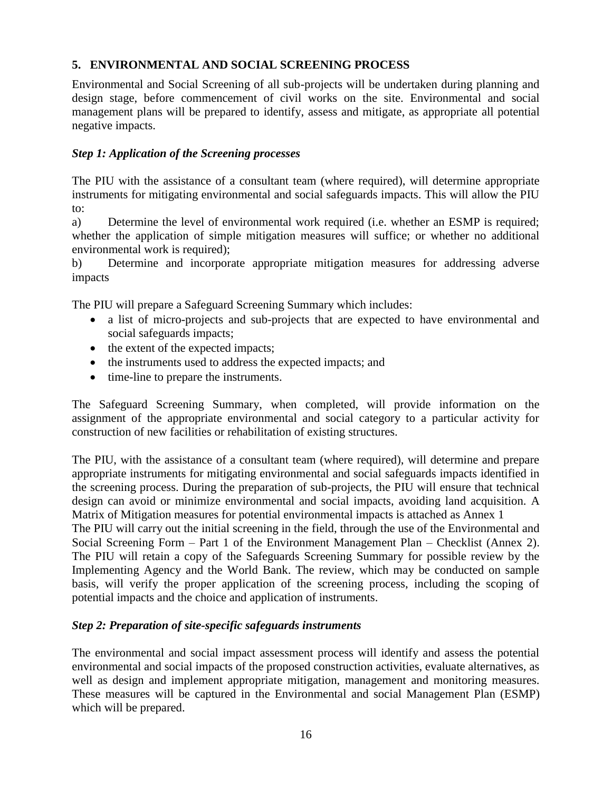### <span id="page-15-0"></span>**5. ENVIRONMENTAL AND SOCIAL SCREENING PROCESS**

Environmental and Social Screening of all sub-projects will be undertaken during planning and design stage, before commencement of civil works on the site. Environmental and social management plans will be prepared to identify, assess and mitigate, as appropriate all potential negative impacts.

### *Step 1: Application of the Screening processes*

The PIU with the assistance of a consultant team (where required), will determine appropriate instruments for mitigating environmental and social safeguards impacts. This will allow the PIU to:

a) Determine the level of environmental work required (i.e. whether an ESMP is required; whether the application of simple mitigation measures will suffice; or whether no additional environmental work is required);

b) Determine and incorporate appropriate mitigation measures for addressing adverse impacts

The PIU will prepare a Safeguard Screening Summary which includes:

- a list of micro-projects and sub-projects that are expected to have environmental and social safeguards impacts;
- the extent of the expected impacts;
- the instruments used to address the expected impacts; and
- time-line to prepare the instruments.

The Safeguard Screening Summary, when completed, will provide information on the assignment of the appropriate environmental and social category to a particular activity for construction of new facilities or rehabilitation of existing structures.

The PIU, with the assistance of a consultant team (where required), will determine and prepare appropriate instruments for mitigating environmental and social safeguards impacts identified in the screening process. During the preparation of sub-projects, the PIU will ensure that technical design can avoid or minimize environmental and social impacts, avoiding land acquisition. A Matrix of Mitigation measures for potential environmental impacts is attached as Annex 1

The PIU will carry out the initial screening in the field, through the use of the Environmental and Social Screening Form – Part 1 of the Environment Management Plan – Checklist (Annex 2). The PIU will retain a copy of the Safeguards Screening Summary for possible review by the Implementing Agency and the World Bank. The review, which may be conducted on sample basis, will verify the proper application of the screening process, including the scoping of potential impacts and the choice and application of instruments.

### *Step 2: Preparation of site-specific safeguards instruments*

The environmental and social impact assessment process will identify and assess the potential environmental and social impacts of the proposed construction activities, evaluate alternatives, as well as design and implement appropriate mitigation, management and monitoring measures. These measures will be captured in the Environmental and social Management Plan (ESMP) which will be prepared.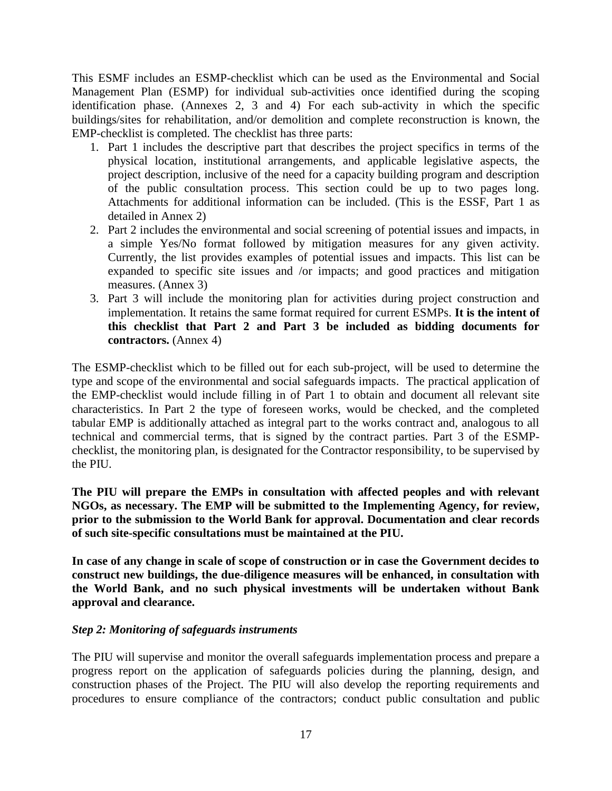This ESMF includes an ESMP-checklist which can be used as the Environmental and Social Management Plan (ESMP) for individual sub-activities once identified during the scoping identification phase. (Annexes 2, 3 and 4) For each sub-activity in which the specific buildings/sites for rehabilitation, and/or demolition and complete reconstruction is known, the EMP-checklist is completed. The checklist has three parts:

- 1. Part 1 includes the descriptive part that describes the project specifics in terms of the physical location, institutional arrangements, and applicable legislative aspects, the project description, inclusive of the need for a capacity building program and description of the public consultation process. This section could be up to two pages long. Attachments for additional information can be included. (This is the ESSF, Part 1 as detailed in Annex 2)
- 2. Part 2 includes the environmental and social screening of potential issues and impacts, in a simple Yes/No format followed by mitigation measures for any given activity. Currently, the list provides examples of potential issues and impacts. This list can be expanded to specific site issues and /or impacts; and good practices and mitigation measures. (Annex 3)
- 3. Part 3 will include the monitoring plan for activities during project construction and implementation. It retains the same format required for current ESMPs. **It is the intent of this checklist that Part 2 and Part 3 be included as bidding documents for contractors.** (Annex 4)

The ESMP-checklist which to be filled out for each sub-project, will be used to determine the type and scope of the environmental and social safeguards impacts. The practical application of the EMP-checklist would include filling in of Part 1 to obtain and document all relevant site characteristics. In Part 2 the type of foreseen works, would be checked, and the completed tabular EMP is additionally attached as integral part to the works contract and, analogous to all technical and commercial terms, that is signed by the contract parties. Part 3 of the ESMPchecklist, the monitoring plan, is designated for the Contractor responsibility, to be supervised by the PIU.

**The PIU will prepare the EMPs in consultation with affected peoples and with relevant NGOs, as necessary. The EMP will be submitted to the Implementing Agency, for review, prior to the submission to the World Bank for approval. Documentation and clear records of such site-specific consultations must be maintained at the PIU.** 

**In case of any change in scale of scope of construction or in case the Government decides to construct new buildings, the due-diligence measures will be enhanced, in consultation with the World Bank, and no such physical investments will be undertaken without Bank approval and clearance.** 

### *Step 2: Monitoring of safeguards instruments*

The PIU will supervise and monitor the overall safeguards implementation process and prepare a progress report on the application of safeguards policies during the planning, design, and construction phases of the Project. The PIU will also develop the reporting requirements and procedures to ensure compliance of the contractors; conduct public consultation and public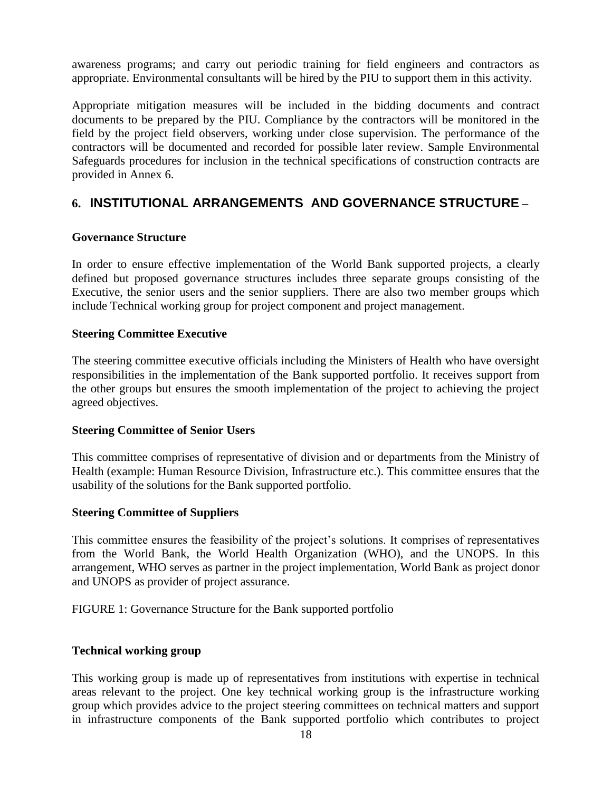awareness programs; and carry out periodic training for field engineers and contractors as appropriate. Environmental consultants will be hired by the PIU to support them in this activity.

Appropriate mitigation measures will be included in the bidding documents and contract documents to be prepared by the PIU. Compliance by the contractors will be monitored in the field by the project field observers, working under close supervision. The performance of the contractors will be documented and recorded for possible later review. Sample Environmental Safeguards procedures for inclusion in the technical specifications of construction contracts are provided in Annex 6.

# <span id="page-17-0"></span>**6. INSTITUTIONAL ARRANGEMENTS AND GOVERNANCE STRUCTURE –**

### **Governance Structure**

In order to ensure effective implementation of the World Bank supported projects, a clearly defined but proposed governance structures includes three separate groups consisting of the Executive, the senior users and the senior suppliers. There are also two member groups which include Technical working group for project component and project management.

### **Steering Committee Executive**

The steering committee executive officials including the Ministers of Health who have oversight responsibilities in the implementation of the Bank supported portfolio. It receives support from the other groups but ensures the smooth implementation of the project to achieving the project agreed objectives.

### **Steering Committee of Senior Users**

This committee comprises of representative of division and or departments from the Ministry of Health (example: Human Resource Division, Infrastructure etc.). This committee ensures that the usability of the solutions for the Bank supported portfolio.

### **Steering Committee of Suppliers**

This committee ensures the feasibility of the project's solutions. It comprises of representatives from the World Bank, the World Health Organization (WHO), and the UNOPS. In this arrangement, WHO serves as partner in the project implementation, World Bank as project donor and UNOPS as provider of project assurance.

FIGURE 1: Governance Structure for the Bank supported portfolio

### **Technical working group**

This working group is made up of representatives from institutions with expertise in technical areas relevant to the project. One key technical working group is the infrastructure working group which provides advice to the project steering committees on technical matters and support in infrastructure components of the Bank supported portfolio which contributes to project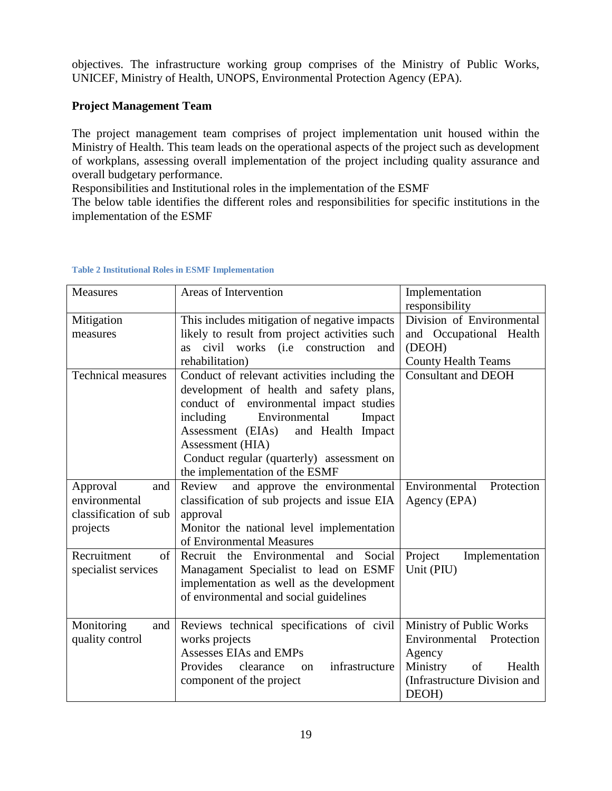objectives. The infrastructure working group comprises of the Ministry of Public Works, UNICEF, Ministry of Health, UNOPS, Environmental Protection Agency (EPA).

### **Project Management Team**

The project management team comprises of project implementation unit housed within the Ministry of Health. This team leads on the operational aspects of the project such as development of workplans, assessing overall implementation of the project including quality assurance and overall budgetary performance.

Responsibilities and Institutional roles in the implementation of the ESMF

The below table identifies the different roles and responsibilities for specific institutions in the implementation of the ESMF

| Measures                                                       | Areas of Intervention                                    | Implementation<br>responsibility |  |  |
|----------------------------------------------------------------|----------------------------------------------------------|----------------------------------|--|--|
| Mitigation                                                     | This includes mitigation of negative impacts             | Division of Environmental        |  |  |
| measures                                                       | likely to result from project activities such            | and Occupational Health          |  |  |
|                                                                | as civil works (i.e construction<br>and                  | (DEOH)                           |  |  |
|                                                                | rehabilitation)                                          | <b>County Health Teams</b>       |  |  |
| <b>Technical measures</b>                                      | Conduct of relevant activities including the             | <b>Consultant and DEOH</b>       |  |  |
|                                                                | development of health and safety plans,                  |                                  |  |  |
|                                                                | conduct of environmental impact studies                  |                                  |  |  |
|                                                                | including<br>Environmental<br>Impact                     |                                  |  |  |
|                                                                | Assessment (EIAs)<br>and Health Impact                   |                                  |  |  |
|                                                                | Assessment (HIA)                                         |                                  |  |  |
|                                                                | Conduct regular (quarterly) assessment on                |                                  |  |  |
|                                                                | the implementation of the ESMF                           |                                  |  |  |
| Approval<br>and                                                | and approve the environmental<br>Review                  | Environmental<br>Protection      |  |  |
| environmental                                                  | classification of sub projects and issue EIA             | Agency (EPA)                     |  |  |
| classification of sub                                          | approval                                                 |                                  |  |  |
| projects                                                       | Monitor the national level implementation                |                                  |  |  |
|                                                                | of Environmental Measures                                |                                  |  |  |
| Recruitment<br>of                                              | Recruit the Environmental and Social                     | Project<br>Implementation        |  |  |
| specialist services                                            | Managament Specialist to lead on ESMF                    | Unit (PIU)                       |  |  |
|                                                                | implementation as well as the development                |                                  |  |  |
|                                                                | of environmental and social guidelines                   |                                  |  |  |
|                                                                |                                                          |                                  |  |  |
| Monitoring<br>Reviews technical specifications of civil<br>and |                                                          | Ministry of Public Works         |  |  |
| quality control                                                | works projects                                           | Environmental Protection         |  |  |
|                                                                | Assesses EIAs and EMPs                                   | Agency                           |  |  |
|                                                                | infrastructure<br>Provides<br>clearance<br><sub>on</sub> | Ministry<br>of<br>Health         |  |  |
|                                                                | component of the project                                 | (Infrastructure Division and     |  |  |
|                                                                |                                                          | DEOH)                            |  |  |

### **Table 2 Institutional Roles in ESMF Implementation**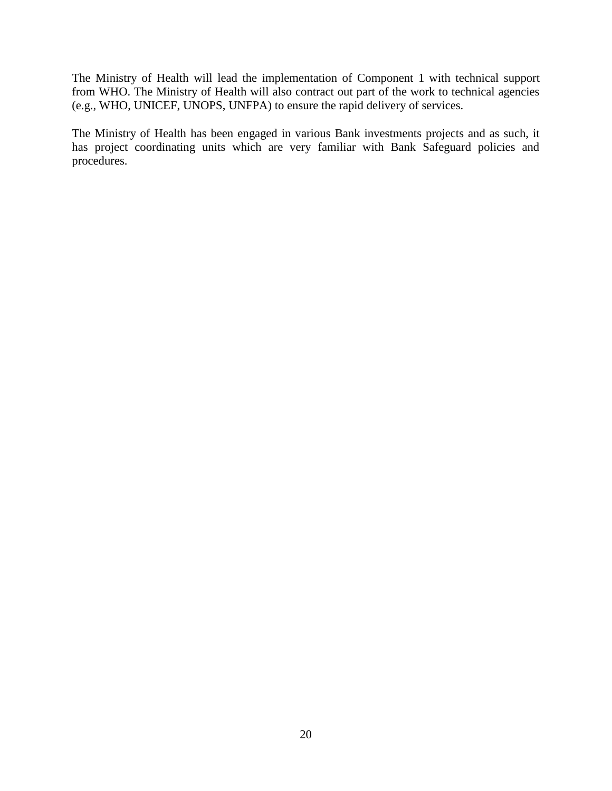The Ministry of Health will lead the implementation of Component 1 with technical support from WHO. The Ministry of Health will also contract out part of the work to technical agencies (e.g., WHO, UNICEF, UNOPS, UNFPA) to ensure the rapid delivery of services.

The Ministry of Health has been engaged in various Bank investments projects and as such, it has project coordinating units which are very familiar with Bank Safeguard policies and procedures.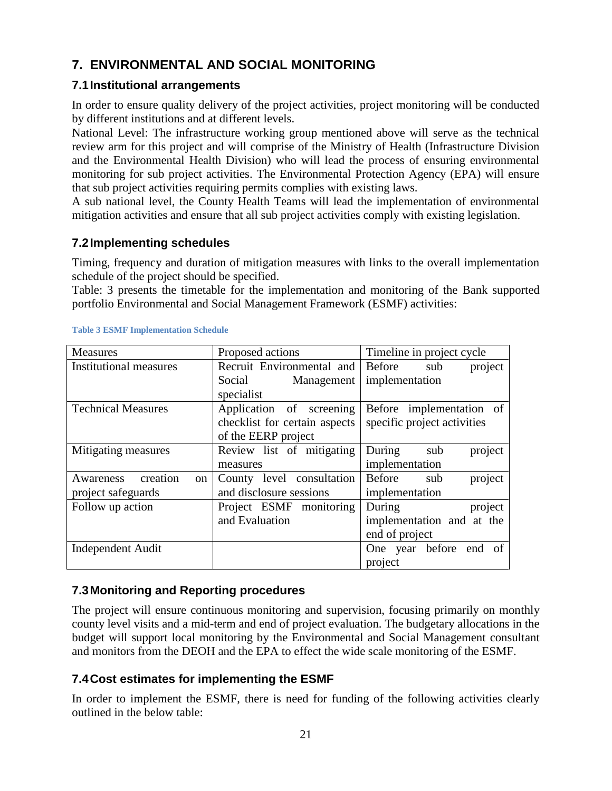# <span id="page-20-0"></span>**7. ENVIRONMENTAL AND SOCIAL MONITORING**

# <span id="page-20-1"></span>**7.1Institutional arrangements**

In order to ensure quality delivery of the project activities, project monitoring will be conducted by different institutions and at different levels.

National Level: The infrastructure working group mentioned above will serve as the technical review arm for this project and will comprise of the Ministry of Health (Infrastructure Division and the Environmental Health Division) who will lead the process of ensuring environmental monitoring for sub project activities. The Environmental Protection Agency (EPA) will ensure that sub project activities requiring permits complies with existing laws.

A sub national level, the County Health Teams will lead the implementation of environmental mitigation activities and ensure that all sub project activities comply with existing legislation.

# <span id="page-20-2"></span>**7.2Implementing schedules**

Timing, frequency and duration of mitigation measures with links to the overall implementation schedule of the project should be specified.

Table: 3 presents the timetable for the implementation and monitoring of the Bank supported portfolio Environmental and Social Management Framework (ESMF) activities:

| <b>Measures</b>                        | Proposed actions              | Timeline in project cycle   |
|----------------------------------------|-------------------------------|-----------------------------|
| <b>Institutional measures</b>          | Recruit Environmental and     | Before sub<br>project       |
|                                        | Social<br>Management          | implementation              |
|                                        | specialist                    |                             |
| <b>Technical Measures</b>              | Application of screening      | Before implementation of    |
|                                        | checklist for certain aspects | specific project activities |
|                                        | of the EERP project           |                             |
| Mitigating measures                    | Review list of mitigating     | During<br>project<br>sub    |
|                                        | measures                      | implementation              |
| creation<br>Awareness<br><sub>on</sub> | County level consultation     | project<br>Before<br>sub    |
| project safeguards                     | and disclosure sessions       | implementation              |
| Follow up action                       | Project ESMF monitoring       | During<br>project           |
|                                        | and Evaluation                | implementation and at the   |
|                                        |                               | end of project              |
| <b>Independent Audit</b>               |                               | One year before end of      |
|                                        |                               | project                     |

### **Table 3 ESMF Implementation Schedule**

### <span id="page-20-3"></span>**7.3Monitoring and Reporting procedures**

The project will ensure continuous monitoring and supervision, focusing primarily on monthly county level visits and a mid-term and end of project evaluation. The budgetary allocations in the budget will support local monitoring by the Environmental and Social Management consultant and monitors from the DEOH and the EPA to effect the wide scale monitoring of the ESMF.

### <span id="page-20-4"></span>**7.4Cost estimates for implementing the ESMF**

In order to implement the ESMF, there is need for funding of the following activities clearly outlined in the below table: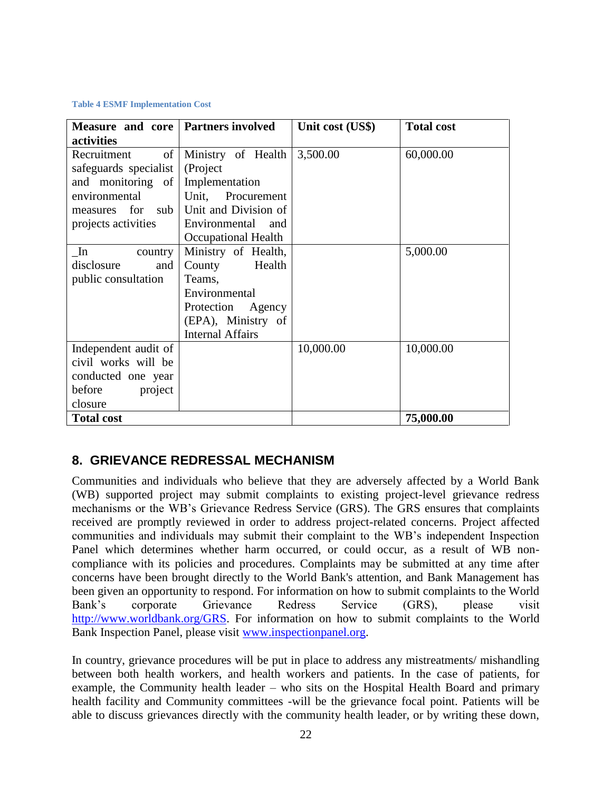### **Table 4 ESMF Implementation Cost**

| Measure and core   Partners involved |                         | Unit cost (US\$) | <b>Total cost</b> |
|--------------------------------------|-------------------------|------------------|-------------------|
| activities                           |                         |                  |                   |
| of<br>Recruitment                    | Ministry of Health      | 3,500.00         | 60,000.00         |
| safeguards specialist                | (Project                |                  |                   |
| and monitoring of                    | Implementation          |                  |                   |
| environmental                        | Unit, Procurement       |                  |                   |
| for sub<br>measures                  | Unit and Division of    |                  |                   |
| projects activities                  | Environmental and       |                  |                   |
|                                      | Occupational Health     |                  |                   |
| In<br>country                        | Ministry of Health,     |                  | 5,000.00          |
| disclosure<br>and                    | Health<br>County        |                  |                   |
| public consultation                  | Teams,                  |                  |                   |
|                                      | Environmental           |                  |                   |
|                                      | Protection<br>Agency    |                  |                   |
|                                      | (EPA), Ministry of      |                  |                   |
|                                      | <b>Internal Affairs</b> |                  |                   |
| Independent audit of                 |                         | 10,000.00        | 10,000.00         |
| civil works will be                  |                         |                  |                   |
| conducted one year                   |                         |                  |                   |
| before<br>project                    |                         |                  |                   |
| closure                              |                         |                  |                   |
| <b>Total cost</b>                    |                         |                  | 75,000.00         |

# <span id="page-21-0"></span>**8. GRIEVANCE REDRESSAL MECHANISM**

Communities and individuals who believe that they are adversely affected by a World Bank (WB) supported project may submit complaints to existing project-level grievance redress mechanisms or the WB's Grievance Redress Service (GRS). The GRS ensures that complaints received are promptly reviewed in order to address project-related concerns. Project affected communities and individuals may submit their complaint to the WB's independent Inspection Panel which determines whether harm occurred, or could occur, as a result of WB noncompliance with its policies and procedures. Complaints may be submitted at any time after concerns have been brought directly to the World Bank's attention, and Bank Management has been given an opportunity to respond. For information on how to submit complaints to the World Bank's corporate Grievance Redress Service (GRS), please visit [http://www.worldbank.org/GRS.](http://www.worldbank.org/GRS) For information on how to submit complaints to the World Bank Inspection Panel, please visit [www.inspectionpanel.org.](http://www.inspectionpanel.org/)

In country, grievance procedures will be put in place to address any mistreatments/ mishandling between both health workers, and health workers and patients. In the case of patients, for example, the Community health leader – who sits on the Hospital Health Board and primary health facility and Community committees -will be the grievance focal point. Patients will be able to discuss grievances directly with the community health leader, or by writing these down,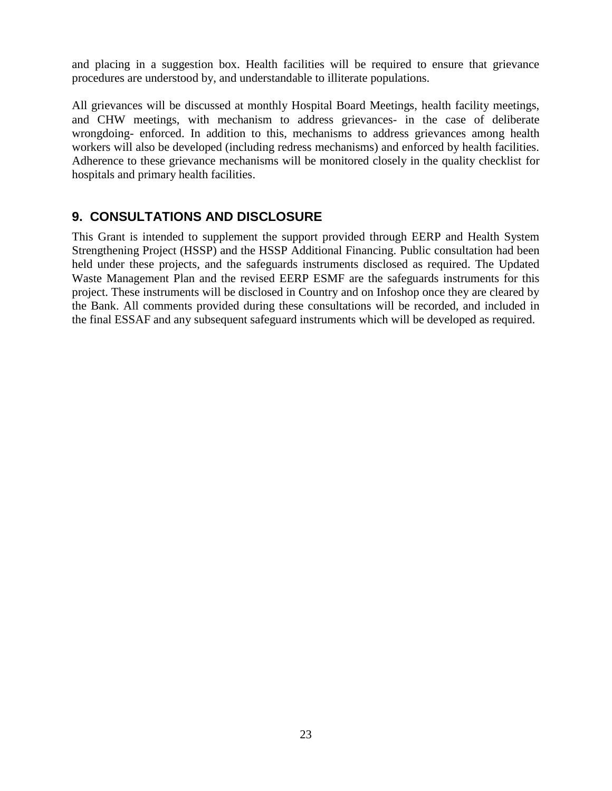and placing in a suggestion box. Health facilities will be required to ensure that grievance procedures are understood by, and understandable to illiterate populations.

All grievances will be discussed at monthly Hospital Board Meetings, health facility meetings, and CHW meetings, with mechanism to address grievances- in the case of deliberate wrongdoing- enforced. In addition to this, mechanisms to address grievances among health workers will also be developed (including redress mechanisms) and enforced by health facilities. Adherence to these grievance mechanisms will be monitored closely in the quality checklist for hospitals and primary health facilities.

# <span id="page-22-0"></span>**9. CONSULTATIONS AND DISCLOSURE**

This Grant is intended to supplement the support provided through EERP and Health System Strengthening Project (HSSP) and the HSSP Additional Financing. Public consultation had been held under these projects, and the safeguards instruments disclosed as required. The Updated Waste Management Plan and the revised EERP ESMF are the safeguards instruments for this project. These instruments will be disclosed in Country and on Infoshop once they are cleared by the Bank. All comments provided during these consultations will be recorded, and included in the final ESSAF and any subsequent safeguard instruments which will be developed as required.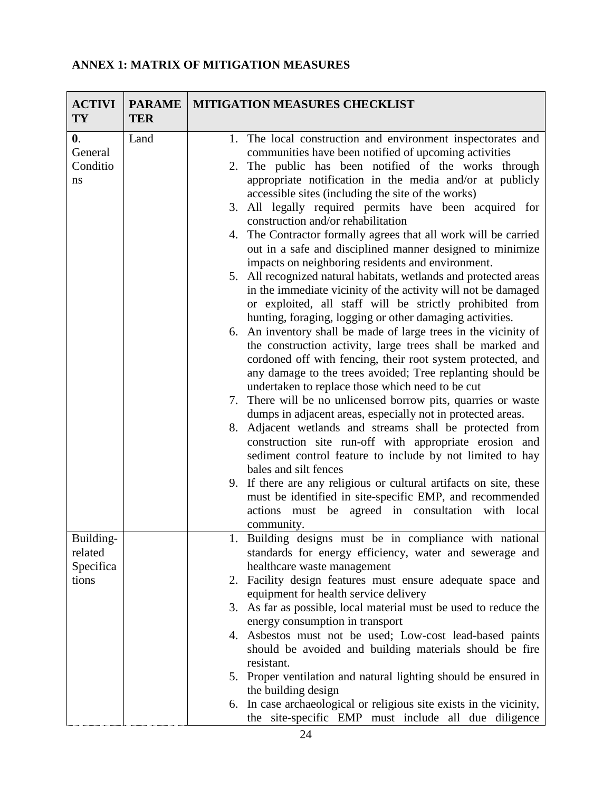# <span id="page-23-0"></span>**ANNEX 1: MATRIX OF MITIGATION MEASURES**

| <b>ACTIVI</b><br><b>TY</b> | <b>PARAME</b><br><b>TER</b> | MITIGATION MEASURES CHECKLIST                                                                                                  |  |
|----------------------------|-----------------------------|--------------------------------------------------------------------------------------------------------------------------------|--|
| $\mathbf{0}$ .             | Land                        | 1. The local construction and environment inspectorates and                                                                    |  |
| General                    |                             | communities have been notified of upcoming activities                                                                          |  |
| Conditio                   |                             | 2. The public has been notified of the works through                                                                           |  |
| ns                         |                             | appropriate notification in the media and/or at publicly                                                                       |  |
|                            |                             | accessible sites (including the site of the works)                                                                             |  |
|                            |                             | 3. All legally required permits have been acquired for<br>construction and/or rehabilitation                                   |  |
|                            |                             | 4. The Contractor formally agrees that all work will be carried                                                                |  |
|                            |                             | out in a safe and disciplined manner designed to minimize                                                                      |  |
|                            |                             | impacts on neighboring residents and environment.                                                                              |  |
|                            |                             | 5. All recognized natural habitats, wetlands and protected areas                                                               |  |
|                            |                             | in the immediate vicinity of the activity will not be damaged                                                                  |  |
|                            |                             | or exploited, all staff will be strictly prohibited from                                                                       |  |
|                            |                             | hunting, foraging, logging or other damaging activities.<br>6. An inventory shall be made of large trees in the vicinity of    |  |
|                            |                             | the construction activity, large trees shall be marked and                                                                     |  |
|                            |                             | cordoned off with fencing, their root system protected, and                                                                    |  |
|                            |                             | any damage to the trees avoided; Tree replanting should be                                                                     |  |
|                            |                             | undertaken to replace those which need to be cut                                                                               |  |
|                            |                             | 7. There will be no unlicensed borrow pits, quarries or waste                                                                  |  |
|                            |                             | dumps in adjacent areas, especially not in protected areas.                                                                    |  |
|                            |                             | 8. Adjacent wetlands and streams shall be protected from                                                                       |  |
|                            |                             | construction site run-off with appropriate erosion and                                                                         |  |
|                            |                             | sediment control feature to include by not limited to hay                                                                      |  |
|                            |                             | bales and silt fences                                                                                                          |  |
|                            |                             | 9. If there are any religious or cultural artifacts on site, these<br>must be identified in site-specific EMP, and recommended |  |
|                            |                             | actions must be agreed in consultation with local                                                                              |  |
|                            |                             | community.                                                                                                                     |  |
| Building-                  |                             | Building designs must be in compliance with national                                                                           |  |
| related                    |                             | standards for energy efficiency, water and sewerage and                                                                        |  |
| Specifica                  |                             | healthcare waste management                                                                                                    |  |
| tions                      |                             | 2. Facility design features must ensure adequate space and                                                                     |  |
|                            |                             | equipment for health service delivery                                                                                          |  |
|                            |                             | 3. As far as possible, local material must be used to reduce the                                                               |  |
|                            |                             | energy consumption in transport                                                                                                |  |
|                            |                             | 4. Asbestos must not be used; Low-cost lead-based paints<br>should be avoided and building materials should be fire            |  |
|                            |                             | resistant.                                                                                                                     |  |
|                            |                             | 5. Proper ventilation and natural lighting should be ensured in                                                                |  |
|                            |                             | the building design                                                                                                            |  |
|                            |                             | In case archaeological or religious site exists in the vicinity,<br>6.                                                         |  |
|                            |                             | the site-specific EMP must include all due diligence                                                                           |  |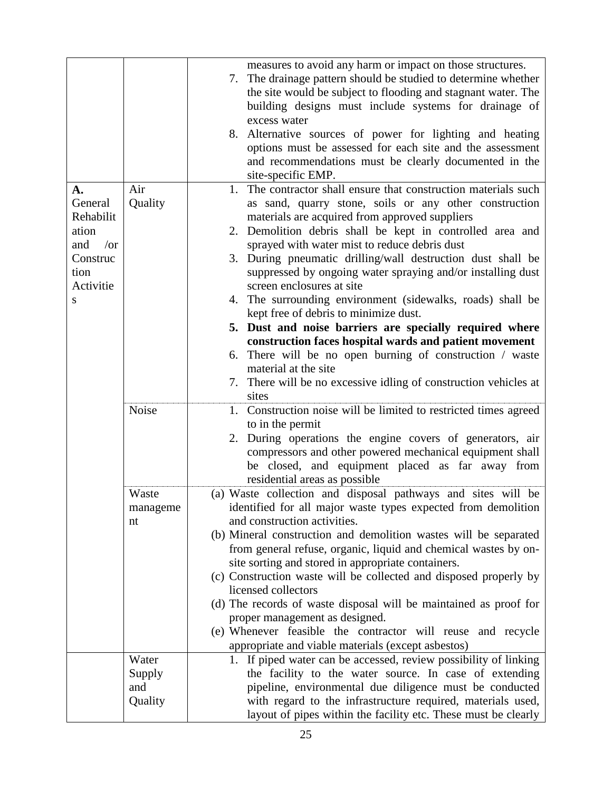|                                                                                   |          | measures to avoid any harm or impact on those structures.<br>7. The drainage pattern should be studied to determine whether<br>the site would be subject to flooding and stagnant water. The<br>building designs must include systems for drainage of<br>excess water<br>8. Alternative sources of power for lighting and heating<br>options must be assessed for each site and the assessment<br>and recommendations must be clearly documented in the<br>site-specific EMP.                                                                                                                                                                                                                                                                                         |
|-----------------------------------------------------------------------------------|----------|-----------------------------------------------------------------------------------------------------------------------------------------------------------------------------------------------------------------------------------------------------------------------------------------------------------------------------------------------------------------------------------------------------------------------------------------------------------------------------------------------------------------------------------------------------------------------------------------------------------------------------------------------------------------------------------------------------------------------------------------------------------------------|
| А.                                                                                | Air      | The contractor shall ensure that construction materials such<br>1.                                                                                                                                                                                                                                                                                                                                                                                                                                                                                                                                                                                                                                                                                                    |
| General<br>Rehabilit<br>ation<br>and<br>/or<br>Construc<br>tion<br>Activitie<br>S | Quality  | as sand, quarry stone, soils or any other construction<br>materials are acquired from approved suppliers<br>2. Demolition debris shall be kept in controlled area and<br>sprayed with water mist to reduce debris dust<br>3. During pneumatic drilling/wall destruction dust shall be<br>suppressed by ongoing water spraying and/or installing dust<br>screen enclosures at site<br>4. The surrounding environment (sidewalks, roads) shall be<br>kept free of debris to minimize dust.<br>5. Dust and noise barriers are specially required where<br>construction faces hospital wards and patient movement<br>6. There will be no open burning of construction / waste<br>material at the site<br>7. There will be no excessive idling of construction vehicles at |
|                                                                                   |          | sites                                                                                                                                                                                                                                                                                                                                                                                                                                                                                                                                                                                                                                                                                                                                                                 |
|                                                                                   | Noise    | 1. Construction noise will be limited to restricted times agreed<br>to in the permit<br>2. During operations the engine covers of generators, air<br>compressors and other powered mechanical equipment shall<br>be closed, and equipment placed as far away from<br>residential areas as possible                                                                                                                                                                                                                                                                                                                                                                                                                                                                    |
|                                                                                   | Waste    | (a) Waste collection and disposal pathways and sites will be                                                                                                                                                                                                                                                                                                                                                                                                                                                                                                                                                                                                                                                                                                          |
|                                                                                   | manageme | identified for all major waste types expected from demolition                                                                                                                                                                                                                                                                                                                                                                                                                                                                                                                                                                                                                                                                                                         |
|                                                                                   | nt       | and construction activities.                                                                                                                                                                                                                                                                                                                                                                                                                                                                                                                                                                                                                                                                                                                                          |
|                                                                                   |          | (b) Mineral construction and demolition wastes will be separated                                                                                                                                                                                                                                                                                                                                                                                                                                                                                                                                                                                                                                                                                                      |
|                                                                                   |          | from general refuse, organic, liquid and chemical wastes by on-                                                                                                                                                                                                                                                                                                                                                                                                                                                                                                                                                                                                                                                                                                       |
|                                                                                   |          | site sorting and stored in appropriate containers.<br>(c) Construction waste will be collected and disposed properly by                                                                                                                                                                                                                                                                                                                                                                                                                                                                                                                                                                                                                                               |
|                                                                                   |          | licensed collectors                                                                                                                                                                                                                                                                                                                                                                                                                                                                                                                                                                                                                                                                                                                                                   |
|                                                                                   |          | (d) The records of waste disposal will be maintained as proof for                                                                                                                                                                                                                                                                                                                                                                                                                                                                                                                                                                                                                                                                                                     |
|                                                                                   |          | proper management as designed.                                                                                                                                                                                                                                                                                                                                                                                                                                                                                                                                                                                                                                                                                                                                        |
|                                                                                   |          | (e) Whenever feasible the contractor will reuse and recycle                                                                                                                                                                                                                                                                                                                                                                                                                                                                                                                                                                                                                                                                                                           |
|                                                                                   |          | appropriate and viable materials (except asbestos)                                                                                                                                                                                                                                                                                                                                                                                                                                                                                                                                                                                                                                                                                                                    |
|                                                                                   | Water    | 1. If piped water can be accessed, review possibility of linking                                                                                                                                                                                                                                                                                                                                                                                                                                                                                                                                                                                                                                                                                                      |
|                                                                                   | Supply   | the facility to the water source. In case of extending                                                                                                                                                                                                                                                                                                                                                                                                                                                                                                                                                                                                                                                                                                                |
|                                                                                   | and      | pipeline, environmental due diligence must be conducted                                                                                                                                                                                                                                                                                                                                                                                                                                                                                                                                                                                                                                                                                                               |
|                                                                                   | Quality  | with regard to the infrastructure required, materials used,<br>layout of pipes within the facility etc. These must be clearly                                                                                                                                                                                                                                                                                                                                                                                                                                                                                                                                                                                                                                         |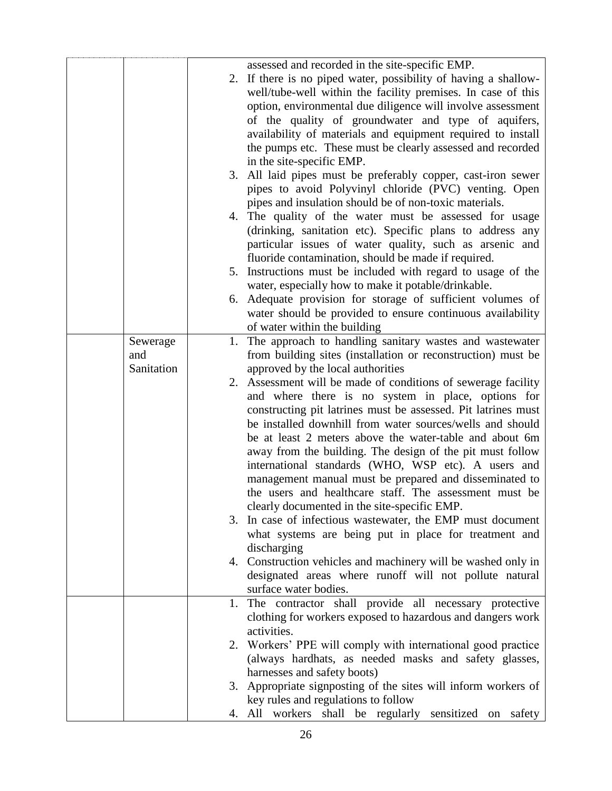|            |    | assessed and recorded in the site-specific EMP.                 |
|------------|----|-----------------------------------------------------------------|
|            |    | 2. If there is no piped water, possibility of having a shallow- |
|            |    | well/tube-well within the facility premises. In case of this    |
|            |    | option, environmental due diligence will involve assessment     |
|            |    | of the quality of groundwater and type of aquifers,             |
|            |    | availability of materials and equipment required to install     |
|            |    | the pumps etc. These must be clearly assessed and recorded      |
|            |    | in the site-specific EMP.                                       |
|            |    | 3. All laid pipes must be preferably copper, cast-iron sewer    |
|            |    | pipes to avoid Polyvinyl chloride (PVC) venting. Open           |
|            |    | pipes and insulation should be of non-toxic materials.          |
|            |    | 4. The quality of the water must be assessed for usage          |
|            |    | (drinking, sanitation etc). Specific plans to address any       |
|            |    | particular issues of water quality, such as arsenic and         |
|            |    | fluoride contamination, should be made if required.             |
|            |    | 5. Instructions must be included with regard to usage of the    |
|            |    | water, especially how to make it potable/drinkable.             |
|            |    | 6. Adequate provision for storage of sufficient volumes of      |
|            |    | water should be provided to ensure continuous availability      |
|            |    | of water within the building                                    |
| Sewerage   |    | 1. The approach to handling sanitary wastes and wastewater      |
| and        |    | from building sites (installation or reconstruction) must be    |
| Sanitation |    | approved by the local authorities                               |
|            |    | 2. Assessment will be made of conditions of sewerage facility   |
|            |    | and where there is no system in place, options for              |
|            |    | constructing pit latrines must be assessed. Pit latrines must   |
|            |    | be installed downhill from water sources/wells and should       |
|            |    | be at least 2 meters above the water-table and about 6m         |
|            |    | away from the building. The design of the pit must follow       |
|            |    | international standards (WHO, WSP etc). A users and             |
|            |    | management manual must be prepared and disseminated to          |
|            |    | the users and healthcare staff. The assessment must be          |
|            |    | clearly documented in the site-specific EMP.                    |
|            | 3. | In case of infectious wastewater, the EMP must document         |
|            |    | what systems are being put in place for treatment and           |
|            |    | discharging                                                     |
|            |    | 4. Construction vehicles and machinery will be washed only in   |
|            |    | designated areas where runoff will not pollute natural          |
|            |    | surface water bodies.                                           |
|            | 1. | The contractor shall provide all necessary protective           |
|            |    | clothing for workers exposed to hazardous and dangers work      |
|            |    | activities.                                                     |
|            |    | 2. Workers' PPE will comply with international good practice    |
|            |    | (always hardhats, as needed masks and safety glasses,           |
|            |    | harnesses and safety boots)                                     |
|            | 3. | Appropriate signposting of the sites will inform workers of     |
|            |    | key rules and regulations to follow                             |
|            |    | 4. All workers shall be regularly sensitized on safety          |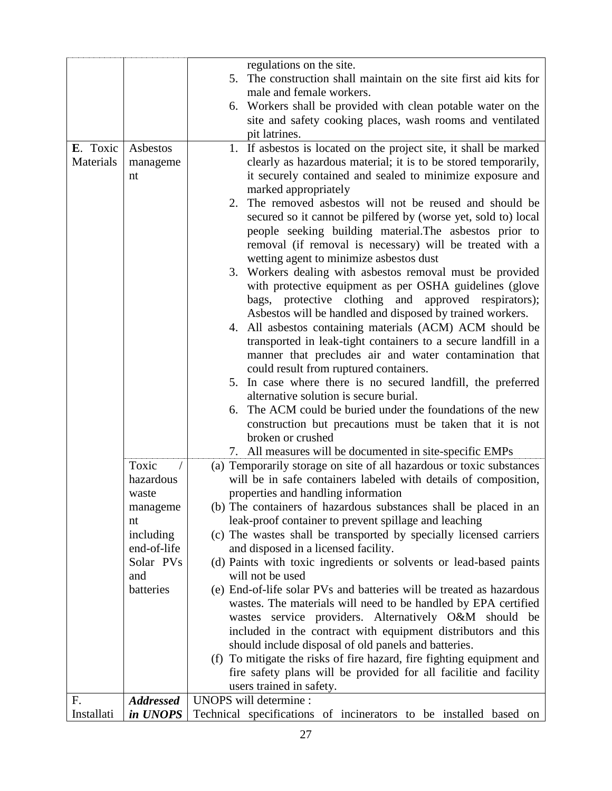|            |                  | regulations on the site.                                                               |  |  |  |
|------------|------------------|----------------------------------------------------------------------------------------|--|--|--|
|            |                  | 5. The construction shall maintain on the site first aid kits for                      |  |  |  |
|            |                  | male and female workers.                                                               |  |  |  |
|            |                  | 6. Workers shall be provided with clean potable water on the                           |  |  |  |
|            |                  | site and safety cooking places, wash rooms and ventilated                              |  |  |  |
|            |                  | pit latrines.                                                                          |  |  |  |
| E. Toxic   | Asbestos         | 1. If asbestos is located on the project site, it shall be marked                      |  |  |  |
| Materials  | manageme         | clearly as hazardous material; it is to be stored temporarily,                         |  |  |  |
|            | nt               | it securely contained and sealed to minimize exposure and                              |  |  |  |
|            |                  | marked appropriately                                                                   |  |  |  |
|            |                  | 2. The removed asbestos will not be reused and should be                               |  |  |  |
|            |                  | secured so it cannot be pilfered by (worse yet, sold to) local                         |  |  |  |
|            |                  | people seeking building material. The asbestos prior to                                |  |  |  |
|            |                  | removal (if removal is necessary) will be treated with a                               |  |  |  |
|            |                  | wetting agent to minimize asbestos dust                                                |  |  |  |
|            |                  | 3. Workers dealing with asbestos removal must be provided                              |  |  |  |
|            |                  | with protective equipment as per OSHA guidelines (glove                                |  |  |  |
|            |                  | bags, protective clothing and approved respirators);                                   |  |  |  |
|            |                  | Asbestos will be handled and disposed by trained workers.                              |  |  |  |
|            |                  | All asbestos containing materials (ACM) ACM should be<br>4.                            |  |  |  |
|            |                  | transported in leak-tight containers to a secure landfill in a                         |  |  |  |
|            |                  | manner that precludes air and water contamination that                                 |  |  |  |
|            |                  | could result from ruptured containers.                                                 |  |  |  |
|            |                  | 5. In case where there is no secured landfill, the preferred                           |  |  |  |
|            |                  | alternative solution is secure burial.                                                 |  |  |  |
|            |                  | The ACM could be buried under the foundations of the new<br>6.                         |  |  |  |
|            |                  | construction but precautions must be taken that it is not                              |  |  |  |
|            |                  | broken or crushed                                                                      |  |  |  |
|            |                  | All measures will be documented in site-specific EMPs<br>7.                            |  |  |  |
|            | Toxic            | (a) Temporarily storage on site of all hazardous or toxic substances                   |  |  |  |
|            | hazardous        | will be in safe containers labeled with details of composition,                        |  |  |  |
|            | waste            | properties and handling information                                                    |  |  |  |
|            | manageme         | (b) The containers of hazardous substances shall be placed in an                       |  |  |  |
|            | nt               | leak-proof container to prevent spillage and leaching                                  |  |  |  |
|            | including        | (c) The wastes shall be transported by specially licensed carriers                     |  |  |  |
|            | end-of-life      | and disposed in a licensed facility.                                                   |  |  |  |
|            | Solar PVs        | (d) Paints with toxic ingredients or solvents or lead-based paints<br>will not be used |  |  |  |
|            | and<br>batteries | (e) End-of-life solar PVs and batteries will be treated as hazardous                   |  |  |  |
|            |                  | wastes. The materials will need to be handled by EPA certified                         |  |  |  |
|            |                  | wastes service providers. Alternatively O&M should be                                  |  |  |  |
|            |                  | included in the contract with equipment distributors and this                          |  |  |  |
|            |                  | should include disposal of old panels and batteries.                                   |  |  |  |
|            |                  | (f) To mitigate the risks of fire hazard, fire fighting equipment and                  |  |  |  |
|            |                  | fire safety plans will be provided for all facilitie and facility                      |  |  |  |
|            |                  | users trained in safety.                                                               |  |  |  |
| F.         | <b>Addressed</b> | UNOPS will determine :                                                                 |  |  |  |
| Installati | in UNOPS         | Technical specifications of incinerators to be installed based on                      |  |  |  |
|            |                  |                                                                                        |  |  |  |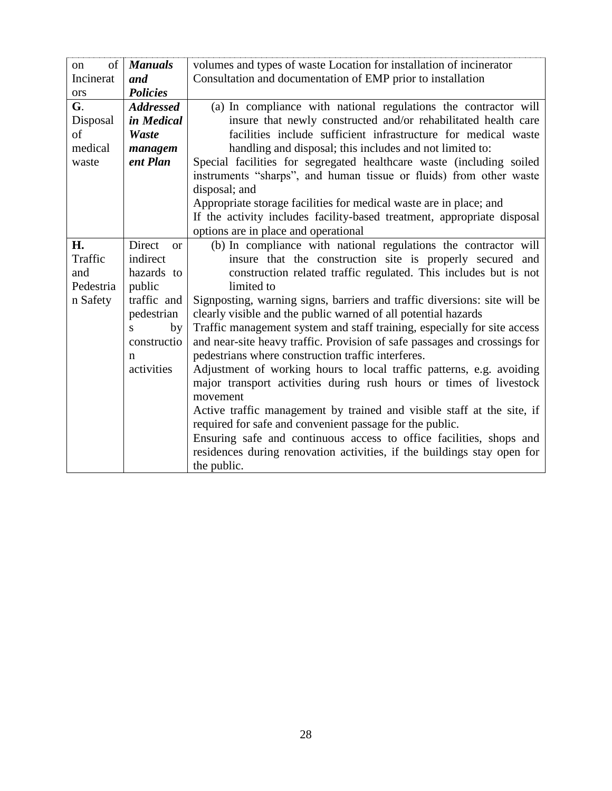| of<br><sub>on</sub>     | <b>Manuals</b>                  | volumes and types of waste Location for installation of incinerator                                                                        |
|-------------------------|---------------------------------|--------------------------------------------------------------------------------------------------------------------------------------------|
| Incinerat<br><b>ors</b> | and<br><b>Policies</b>          | Consultation and documentation of EMP prior to installation                                                                                |
| G.                      | <b>Addressed</b>                | (a) In compliance with national regulations the contractor will                                                                            |
| Disposal                | in Medical                      | insure that newly constructed and/or rehabilitated health care                                                                             |
| of                      | Waste                           | facilities include sufficient infrastructure for medical waste                                                                             |
| medical                 | managem                         | handling and disposal; this includes and not limited to:                                                                                   |
| waste                   | ent Plan                        | Special facilities for segregated healthcare waste (including soiled<br>instruments "sharps", and human tissue or fluids) from other waste |
|                         |                                 | disposal; and                                                                                                                              |
|                         |                                 | Appropriate storage facilities for medical waste are in place; and                                                                         |
|                         |                                 | If the activity includes facility-based treatment, appropriate disposal                                                                    |
|                         |                                 | options are in place and operational                                                                                                       |
| H.<br>Traffic           | Direct<br><b>or</b><br>indirect | (b) In compliance with national regulations the contractor will                                                                            |
| and                     | hazards to                      | insure that the construction site is properly secured and<br>construction related traffic regulated. This includes but is not              |
| Pedestria               | public                          | limited to                                                                                                                                 |
| n Safety                | traffic and                     | Signposting, warning signs, barriers and traffic diversions: site will be                                                                  |
|                         | pedestrian                      | clearly visible and the public warned of all potential hazards                                                                             |
|                         | by<br>S.                        | Traffic management system and staff training, especially for site access                                                                   |
|                         | constructio                     | and near-site heavy traffic. Provision of safe passages and crossings for                                                                  |
|                         | n                               | pedestrians where construction traffic interferes.                                                                                         |
|                         | activities                      | Adjustment of working hours to local traffic patterns, e.g. avoiding                                                                       |
|                         |                                 | major transport activities during rush hours or times of livestock                                                                         |
|                         |                                 | movement                                                                                                                                   |
|                         |                                 | Active traffic management by trained and visible staff at the site, if                                                                     |
|                         |                                 | required for safe and convenient passage for the public.<br>Ensuring safe and continuous access to office facilities, shops and            |
|                         |                                 | residences during renovation activities, if the buildings stay open for                                                                    |
|                         |                                 | the public.                                                                                                                                |
|                         |                                 |                                                                                                                                            |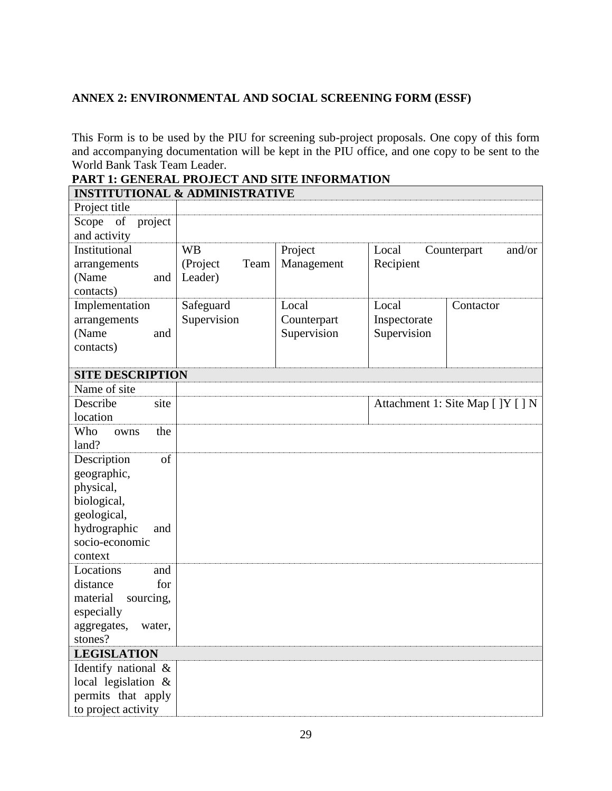## <span id="page-28-0"></span>**ANNEX 2: ENVIRONMENTAL AND SOCIAL SCREENING FORM (ESSF)**

This Form is to be used by the PIU for screening sub-project proposals. One copy of this form and accompanying documentation will be kept in the PIU office, and one copy to be sent to the World Bank Task Team Leader.

# **PART 1: GENERAL PROJECT AND SITE INFORMATION**

| <b>INSTITUTIONAL &amp; ADMINISTRATIVE</b> |                  |             |                                |                                   |  |  |
|-------------------------------------------|------------------|-------------|--------------------------------|-----------------------------------|--|--|
| Project title                             |                  |             |                                |                                   |  |  |
| Scope of<br>project                       |                  |             |                                |                                   |  |  |
| and activity                              |                  |             |                                |                                   |  |  |
| Institutional                             | <b>WB</b>        | Project     | Local<br>and/or<br>Counterpart |                                   |  |  |
| arrangements                              | Team<br>(Project | Management  | Recipient                      |                                   |  |  |
| (Name<br>and                              | Leader)          |             |                                |                                   |  |  |
| contacts)                                 |                  |             |                                |                                   |  |  |
| Implementation                            | Safeguard        | Local       | Local                          | Contactor                         |  |  |
| arrangements                              | Supervision      | Counterpart | Inspectorate                   |                                   |  |  |
| (Name<br>and                              |                  | Supervision | Supervision                    |                                   |  |  |
| contacts)                                 |                  |             |                                |                                   |  |  |
|                                           |                  |             |                                |                                   |  |  |
| <b>SITE DESCRIPTION</b>                   |                  |             |                                |                                   |  |  |
| Name of site                              |                  |             |                                |                                   |  |  |
| Describe<br>site                          |                  |             |                                | Attachment 1: Site Map [ ]Y [ ] N |  |  |
| location                                  |                  |             |                                |                                   |  |  |
| Who<br>the<br>owns                        |                  |             |                                |                                   |  |  |
| land?                                     |                  |             |                                |                                   |  |  |
| of<br>Description                         |                  |             |                                |                                   |  |  |
| geographic,                               |                  |             |                                |                                   |  |  |
| physical,                                 |                  |             |                                |                                   |  |  |
| biological,                               |                  |             |                                |                                   |  |  |
| geological,                               |                  |             |                                |                                   |  |  |
| hydrographic<br>and                       |                  |             |                                |                                   |  |  |
| socio-economic                            |                  |             |                                |                                   |  |  |
| context                                   |                  |             |                                |                                   |  |  |
| Locations<br>and                          |                  |             |                                |                                   |  |  |
| for<br>distance                           |                  |             |                                |                                   |  |  |
| material<br>sourcing,                     |                  |             |                                |                                   |  |  |
| especially                                |                  |             |                                |                                   |  |  |
| aggregates,<br>water,                     |                  |             |                                |                                   |  |  |
| stones?                                   |                  |             |                                |                                   |  |  |
| <b>LEGISLATION</b>                        |                  |             |                                |                                   |  |  |
| Identify national &                       |                  |             |                                |                                   |  |  |
| local legislation &                       |                  |             |                                |                                   |  |  |
| permits that apply                        |                  |             |                                |                                   |  |  |
| to project activity                       |                  |             |                                |                                   |  |  |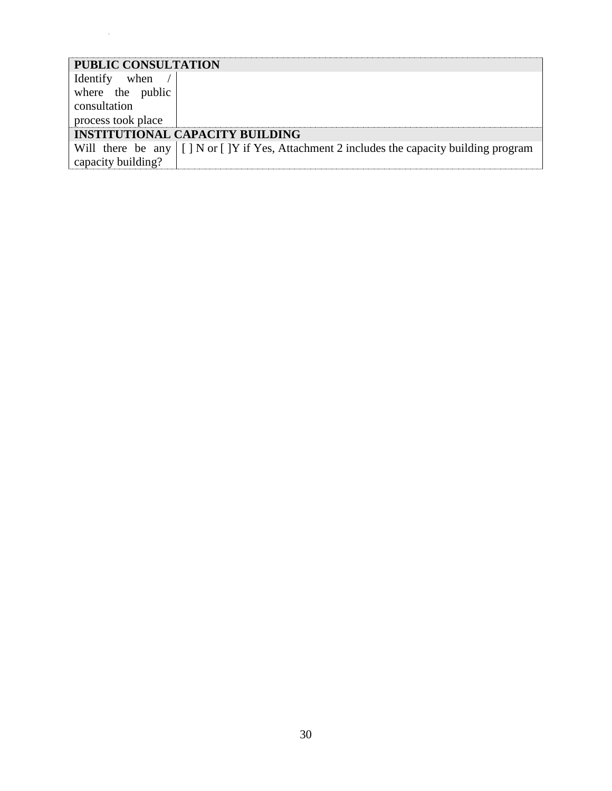| <b>PUBLIC CONSULTATION</b> |                                                                                                       |
|----------------------------|-------------------------------------------------------------------------------------------------------|
| Identify when /            |                                                                                                       |
| where the public           |                                                                                                       |
| consultation               |                                                                                                       |
| process took place         |                                                                                                       |
|                            | <b>INSTITUTIONAL CAPACITY BUILDING</b>                                                                |
|                            | Will there be any $\vert \vert$ N or [] Y if Yes, Attachment 2 includes the capacity building program |
| capacity building?         |                                                                                                       |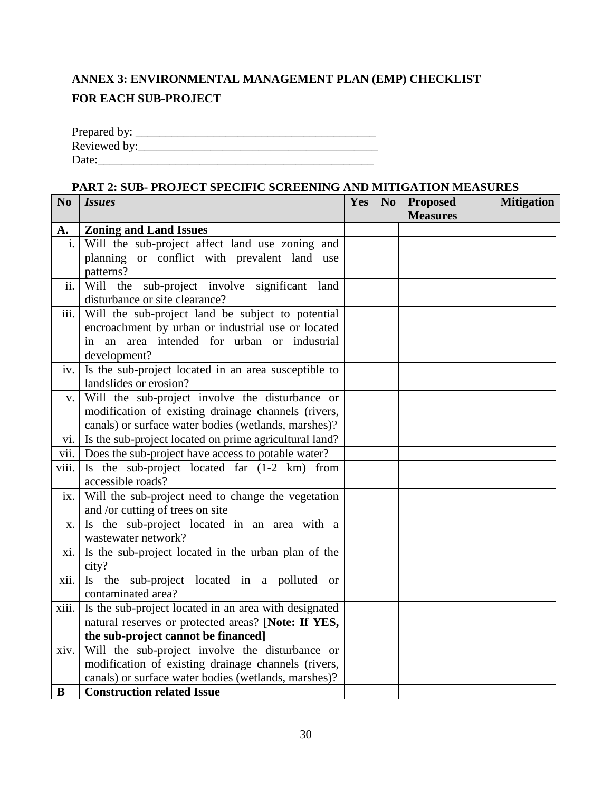# <span id="page-30-1"></span><span id="page-30-0"></span>**ANNEX 3: ENVIRONMENTAL MANAGEMENT PLAN (EMP) CHECKLIST FOR EACH SUB-PROJECT**

| Prepared by: |  |
|--------------|--|
| Reviewed by: |  |
| Date:        |  |

### **PART 2: SUB- PROJECT SPECIFIC SCREENING AND MITIGATION MEASURES**

| N <sub>0</sub> | <b>Issues</b>                                              | Yes | N <sub>0</sub> | <b>Proposed</b> | <b>Mitigation</b> |
|----------------|------------------------------------------------------------|-----|----------------|-----------------|-------------------|
|                |                                                            |     |                | <b>Measures</b> |                   |
| А.             | <b>Zoning and Land Issues</b>                              |     |                |                 |                   |
| i.             | Will the sub-project affect land use zoning and            |     |                |                 |                   |
|                | planning or conflict with prevalent land use               |     |                |                 |                   |
|                | patterns?                                                  |     |                |                 |                   |
| ii.            | Will the<br>sub-project involve significant land           |     |                |                 |                   |
|                | disturbance or site clearance?                             |     |                |                 |                   |
| iii.           | Will the sub-project land be subject to potential          |     |                |                 |                   |
|                | encroachment by urban or industrial use or located         |     |                |                 |                   |
|                | in an area intended for urban or industrial                |     |                |                 |                   |
|                | development?                                               |     |                |                 |                   |
| iv.            | Is the sub-project located in an area susceptible to       |     |                |                 |                   |
|                | landslides or erosion?                                     |     |                |                 |                   |
| V.             | Will the sub-project involve the disturbance or            |     |                |                 |                   |
|                | modification of existing drainage channels (rivers,        |     |                |                 |                   |
|                | canals) or surface water bodies (wetlands, marshes)?       |     |                |                 |                   |
|                | vi. Is the sub-project located on prime agricultural land? |     |                |                 |                   |
| vii.           | Does the sub-project have access to potable water?         |     |                |                 |                   |
| viii.          | Is the sub-project located far (1-2 km) from               |     |                |                 |                   |
|                | accessible roads?                                          |     |                |                 |                   |
| ix.            | Will the sub-project need to change the vegetation         |     |                |                 |                   |
|                | and /or cutting of trees on site                           |     |                |                 |                   |
| X.             | Is the sub-project located in an area with a               |     |                |                 |                   |
|                | wastewater network?                                        |     |                |                 |                   |
| xi.            | Is the sub-project located in the urban plan of the        |     |                |                 |                   |
|                | city?                                                      |     |                |                 |                   |
| xii.           | sub-project located in a polluted or<br>Is the             |     |                |                 |                   |
|                | contaminated area?                                         |     |                |                 |                   |
| xiii.          | Is the sub-project located in an area with designated      |     |                |                 |                   |
|                | natural reserves or protected areas? [Note: If YES,        |     |                |                 |                   |
|                | the sub-project cannot be financed]                        |     |                |                 |                   |
| xiv.           | Will the sub-project involve the disturbance or            |     |                |                 |                   |
|                | modification of existing drainage channels (rivers,        |     |                |                 |                   |
|                | canals) or surface water bodies (wetlands, marshes)?       |     |                |                 |                   |
| $\bf{B}$       | <b>Construction related Issue</b>                          |     |                |                 |                   |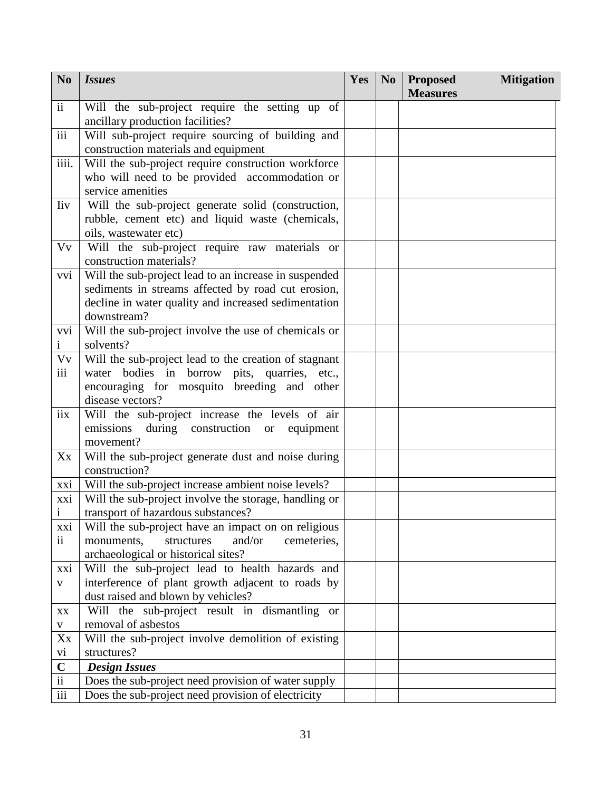| N <sub>0</sub>           | <i>Issues</i>                                                                                              | Yes | N <sub>0</sub> | <b>Proposed</b><br><b>Measures</b> | <b>Mitigation</b> |
|--------------------------|------------------------------------------------------------------------------------------------------------|-----|----------------|------------------------------------|-------------------|
| $\rm ii$                 | Will the sub-project require the setting up of                                                             |     |                |                                    |                   |
|                          | ancillary production facilities?                                                                           |     |                |                                    |                   |
| iii                      | Will sub-project require sourcing of building and                                                          |     |                |                                    |                   |
|                          | construction materials and equipment                                                                       |     |                |                                    |                   |
| iiii.                    | Will the sub-project require construction workforce                                                        |     |                |                                    |                   |
|                          | who will need to be provided accommodation or                                                              |     |                |                                    |                   |
|                          | service amenities                                                                                          |     |                |                                    |                   |
| <b>liv</b>               | Will the sub-project generate solid (construction,                                                         |     |                |                                    |                   |
|                          | rubble, cement etc) and liquid waste (chemicals,                                                           |     |                |                                    |                   |
|                          | oils, wastewater etc)                                                                                      |     |                |                                    |                   |
| Vv                       | Will the sub-project require raw materials or                                                              |     |                |                                    |                   |
|                          | construction materials?                                                                                    |     |                |                                    |                   |
| vvi                      | Will the sub-project lead to an increase in suspended                                                      |     |                |                                    |                   |
|                          | sediments in streams affected by road cut erosion,<br>decline in water quality and increased sedimentation |     |                |                                    |                   |
|                          | downstream?                                                                                                |     |                |                                    |                   |
| vvi                      | Will the sub-project involve the use of chemicals or                                                       |     |                |                                    |                   |
| $\mathbf{1}$             | solvents?                                                                                                  |     |                |                                    |                   |
| Vv                       | Will the sub-project lead to the creation of stagnant                                                      |     |                |                                    |                   |
| iii                      | water bodies in borrow pits, quarries, etc.,                                                               |     |                |                                    |                   |
|                          | encouraging for mosquito breeding and other                                                                |     |                |                                    |                   |
|                          | disease vectors?                                                                                           |     |                |                                    |                   |
| iix                      | Will the sub-project increase the levels of air                                                            |     |                |                                    |                   |
|                          | emissions<br>during construction or equipment                                                              |     |                |                                    |                   |
|                          | movement?                                                                                                  |     |                |                                    |                   |
| Xx                       | Will the sub-project generate dust and noise during                                                        |     |                |                                    |                   |
|                          | construction?                                                                                              |     |                |                                    |                   |
| xxi                      | Will the sub-project increase ambient noise levels?                                                        |     |                |                                    |                   |
| xxi                      | Will the sub-project involve the storage, handling or                                                      |     |                |                                    |                   |
| $\mathbf{i}$             | transport of hazardous substances?                                                                         |     |                |                                    |                   |
| xxi                      | Will the sub-project have an impact on on religious                                                        |     |                |                                    |                   |
| $\mathbf{ii}$            | and/or<br>cemeteries,<br>monuments,<br>structures                                                          |     |                |                                    |                   |
|                          | archaeological or historical sites?                                                                        |     |                |                                    |                   |
| xxi                      | Will the sub-project lead to health hazards and                                                            |     |                |                                    |                   |
| $\mathbf{V}$             | interference of plant growth adjacent to roads by                                                          |     |                |                                    |                   |
|                          | dust raised and blown by vehicles?                                                                         |     |                |                                    |                   |
| $\mathbf{X}\mathbf{X}$   | Will the sub-project result in dismantling or                                                              |     |                |                                    |                   |
| $\mathbf V$              | removal of asbestos                                                                                        |     |                |                                    |                   |
| Xx                       | Will the sub-project involve demolition of existing<br>structures?                                         |     |                |                                    |                   |
| vi<br>$\mathbf C$        |                                                                                                            |     |                |                                    |                   |
| $\overline{\textbf{ii}}$ | <b>Design Issues</b><br>Does the sub-project need provision of water supply                                |     |                |                                    |                   |
| $\,$ iii                 | Does the sub-project need provision of electricity                                                         |     |                |                                    |                   |
|                          |                                                                                                            |     |                |                                    |                   |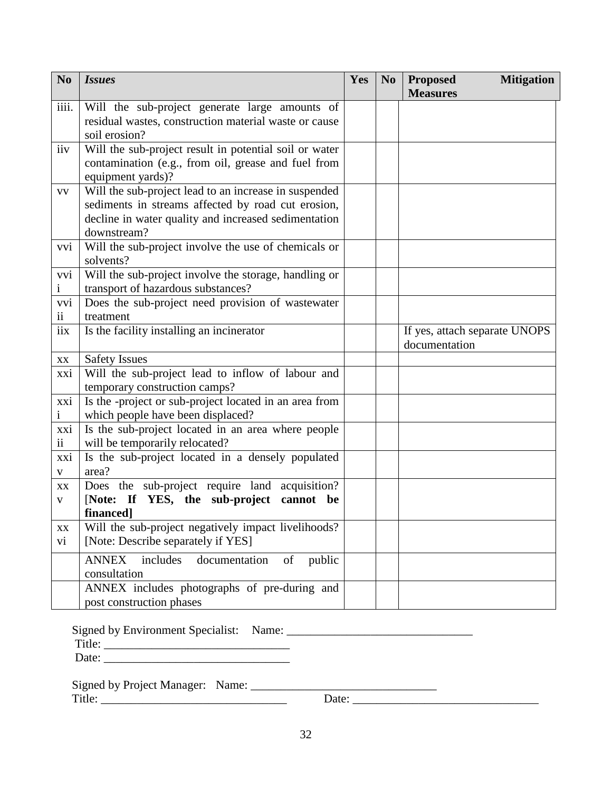| N <sub>0</sub>      | <b>Issues</b>                                                                           | Yes | N <sub>0</sub> | <b>Mitigation</b><br><b>Proposed</b><br><b>Measures</b> |
|---------------------|-----------------------------------------------------------------------------------------|-----|----------------|---------------------------------------------------------|
| iiii.               | Will the sub-project generate large amounts of                                          |     |                |                                                         |
|                     | residual wastes, construction material waste or cause                                   |     |                |                                                         |
|                     | soil erosion?                                                                           |     |                |                                                         |
| iiv                 | Will the sub-project result in potential soil or water                                  |     |                |                                                         |
|                     | contamination (e.g., from oil, grease and fuel from                                     |     |                |                                                         |
|                     | equipment yards)?                                                                       |     |                |                                                         |
| <b>VV</b>           | Will the sub-project lead to an increase in suspended                                   |     |                |                                                         |
|                     | sediments in streams affected by road cut erosion,                                      |     |                |                                                         |
|                     | decline in water quality and increased sedimentation                                    |     |                |                                                         |
|                     | downstream?                                                                             |     |                |                                                         |
| vvi                 | Will the sub-project involve the use of chemicals or                                    |     |                |                                                         |
|                     | solvents?                                                                               |     |                |                                                         |
| vvi                 | Will the sub-project involve the storage, handling or                                   |     |                |                                                         |
| $\mathbf{i}$        | transport of hazardous substances?                                                      |     |                |                                                         |
| vvi                 | Does the sub-project need provision of wastewater                                       |     |                |                                                         |
| $\mathbf{ii}$       | treatment                                                                               |     |                |                                                         |
| iix                 | Is the facility installing an incinerator                                               |     |                | If yes, attach separate UNOPS                           |
|                     |                                                                                         |     |                | documentation                                           |
| XX                  | <b>Safety Issues</b>                                                                    |     |                |                                                         |
| xxi                 | Will the sub-project lead to inflow of labour and                                       |     |                |                                                         |
|                     | temporary construction camps?                                                           |     |                |                                                         |
| xxi<br>$\mathbf{i}$ | Is the -project or sub-project located in an area from                                  |     |                |                                                         |
| xxi                 | which people have been displaced?<br>Is the sub-project located in an area where people |     |                |                                                         |
| $\ddot{\mathbf{i}}$ | will be temporarily relocated?                                                          |     |                |                                                         |
| xxi                 | Is the sub-project located in a densely populated                                       |     |                |                                                         |
| V                   | area?                                                                                   |     |                |                                                         |
| XX                  | Does the sub-project require land acquisition?                                          |     |                |                                                         |
| $\mathbf{V}$        | [Note: If YES, the sub-project cannot<br>be                                             |     |                |                                                         |
|                     | financed]                                                                               |     |                |                                                         |
| XX                  | Will the sub-project negatively impact livelihoods?                                     |     |                |                                                         |
| vi                  | [Note: Describe separately if YES]                                                      |     |                |                                                         |
|                     | <b>ANNEX</b><br>includes<br>documentation<br>public<br>of                               |     |                |                                                         |
|                     | consultation                                                                            |     |                |                                                         |
|                     | ANNEX includes photographs of pre-during and                                            |     |                |                                                         |
|                     | post construction phases                                                                |     |                |                                                         |

Signed by Environment Specialist: Name: \_\_\_\_\_\_\_\_\_\_\_\_\_\_\_\_\_\_\_\_\_\_\_\_\_\_\_\_\_\_\_

 $\text{Title:}$   $\frac{1}{\sqrt{1-\frac{1}{2}}\cdot\frac{1}{2}}$ 

Date: \_\_\_\_\_\_\_\_\_\_\_\_\_\_\_\_\_\_\_\_\_\_\_\_\_\_\_\_\_\_\_

| <b>Signed by Project Manager:</b> | Name: |      |  |
|-----------------------------------|-------|------|--|
| Title:                            |       | Jate |  |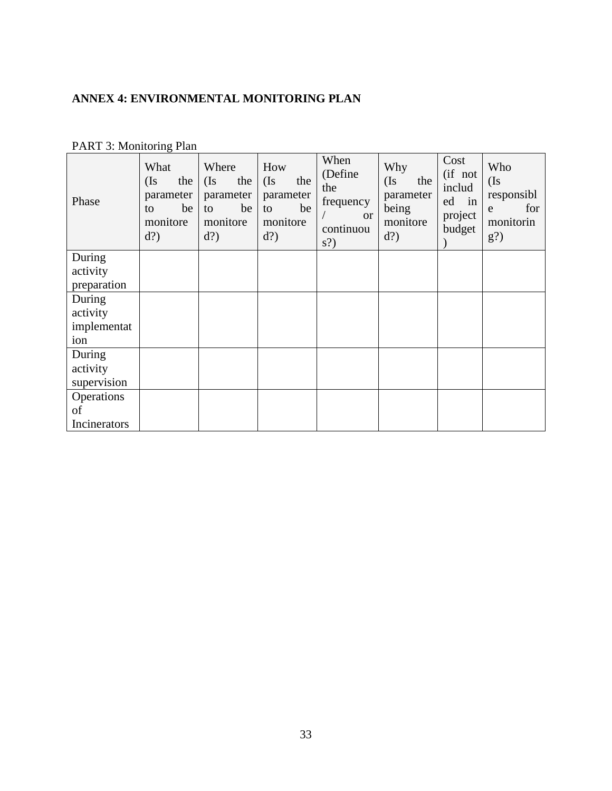# <span id="page-33-0"></span>**ANNEX 4: ENVIRONMENTAL MONITORING PLAN**

| Phase        | What<br>(Is)<br>the<br>parameter<br>be<br>to<br>monitore<br>$d$ ? | Where<br>(Is)<br>the<br>parameter<br>be<br>to<br>monitore<br>$d$ ? | How<br>(Is)<br>the<br>parameter<br>be<br>to<br>monitore<br>$d$ ? | When<br>(Define<br>the<br>frequency<br><sub>or</sub><br>continuou<br>$s$ ? | Why<br>(Is)<br>the<br>parameter<br>being<br>monitore<br>$d$ ? | Cost<br>(if not<br>includ<br>in<br>ed<br>project<br>budget | Who<br>(Is)<br>responsibl<br>for<br>e<br>monitorin<br>$g$ ? |
|--------------|-------------------------------------------------------------------|--------------------------------------------------------------------|------------------------------------------------------------------|----------------------------------------------------------------------------|---------------------------------------------------------------|------------------------------------------------------------|-------------------------------------------------------------|
| During       |                                                                   |                                                                    |                                                                  |                                                                            |                                                               |                                                            |                                                             |
| activity     |                                                                   |                                                                    |                                                                  |                                                                            |                                                               |                                                            |                                                             |
| preparation  |                                                                   |                                                                    |                                                                  |                                                                            |                                                               |                                                            |                                                             |
| During       |                                                                   |                                                                    |                                                                  |                                                                            |                                                               |                                                            |                                                             |
| activity     |                                                                   |                                                                    |                                                                  |                                                                            |                                                               |                                                            |                                                             |
| implementat  |                                                                   |                                                                    |                                                                  |                                                                            |                                                               |                                                            |                                                             |
| ion          |                                                                   |                                                                    |                                                                  |                                                                            |                                                               |                                                            |                                                             |
| During       |                                                                   |                                                                    |                                                                  |                                                                            |                                                               |                                                            |                                                             |
| activity     |                                                                   |                                                                    |                                                                  |                                                                            |                                                               |                                                            |                                                             |
| supervision  |                                                                   |                                                                    |                                                                  |                                                                            |                                                               |                                                            |                                                             |
| Operations   |                                                                   |                                                                    |                                                                  |                                                                            |                                                               |                                                            |                                                             |
| of           |                                                                   |                                                                    |                                                                  |                                                                            |                                                               |                                                            |                                                             |
| Incinerators |                                                                   |                                                                    |                                                                  |                                                                            |                                                               |                                                            |                                                             |

# PART 3: Monitoring Plan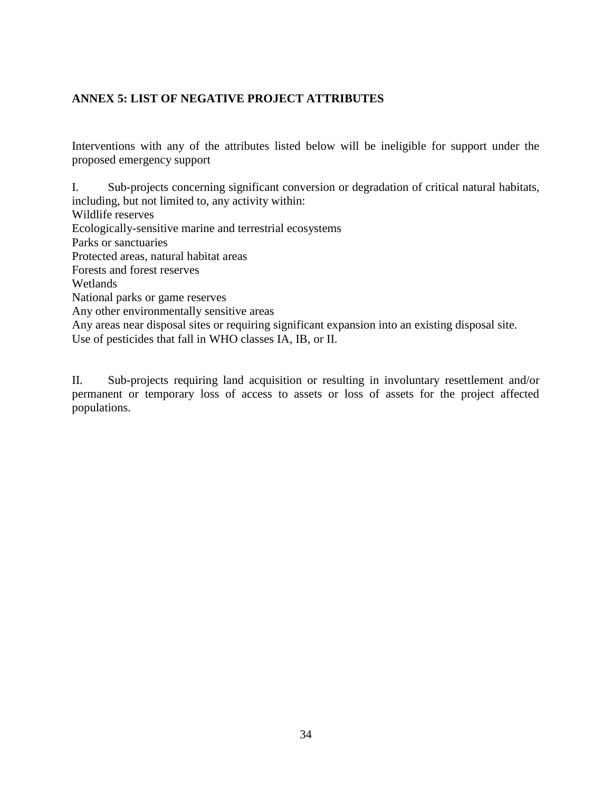### <span id="page-34-0"></span>**ANNEX 5: LIST OF NEGATIVE PROJECT ATTRIBUTES**

Interventions with any of the attributes listed below will be ineligible for support under the proposed emergency support

I. Sub-projects concerning significant conversion or degradation of critical natural habitats, including, but not limited to, any activity within: Wildlife reserves Ecologically-sensitive marine and terrestrial ecosystems Parks or sanctuaries Protected areas, natural habitat areas Forests and forest reserves Wetlands National parks or game reserves Any other environmentally sensitive areas Any areas near disposal sites or requiring significant expansion into an existing disposal site. Use of pesticides that fall in WHO classes IA, IB, or II.

II. Sub-projects requiring land acquisition or resulting in involuntary resettlement and/or permanent or temporary loss of access to assets or loss of assets for the project affected populations.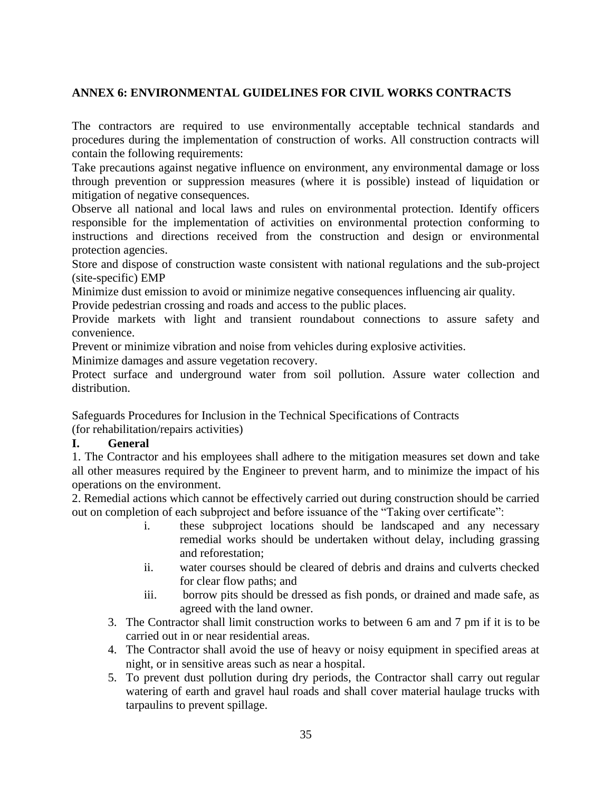### <span id="page-35-0"></span>**ANNEX 6: ENVIRONMENTAL GUIDELINES FOR CIVIL WORKS CONTRACTS**

The contractors are required to use environmentally acceptable technical standards and procedures during the implementation of construction of works. All construction contracts will contain the following requirements:

Take precautions against negative influence on environment, any environmental damage or loss through prevention or suppression measures (where it is possible) instead of liquidation or mitigation of negative consequences.

Observe all national and local laws and rules on environmental protection. Identify officers responsible for the implementation of activities on environmental protection conforming to instructions and directions received from the construction and design or environmental protection agencies.

Store and dispose of construction waste consistent with national regulations and the sub-project (site-specific) EMP

Minimize dust emission to avoid or minimize negative consequences influencing air quality.

Provide pedestrian crossing and roads and access to the public places.

Provide markets with light and transient roundabout connections to assure safety and convenience.

Prevent or minimize vibration and noise from vehicles during explosive activities.

Minimize damages and assure vegetation recovery.

Protect surface and underground water from soil pollution. Assure water collection and distribution.

Safeguards Procedures for Inclusion in the Technical Specifications of Contracts (for rehabilitation/repairs activities)

### **I. General**

1. The Contractor and his employees shall adhere to the mitigation measures set down and take all other measures required by the Engineer to prevent harm, and to minimize the impact of his operations on the environment.

2. Remedial actions which cannot be effectively carried out during construction should be carried out on completion of each subproject and before issuance of the "Taking over certificate":

- i. these subproject locations should be landscaped and any necessary remedial works should be undertaken without delay, including grassing and reforestation;
- ii. water courses should be cleared of debris and drains and culverts checked for clear flow paths; and
- iii. borrow pits should be dressed as fish ponds, or drained and made safe, as agreed with the land owner.
- 3. The Contractor shall limit construction works to between 6 am and 7 pm if it is to be carried out in or near residential areas.
- 4. The Contractor shall avoid the use of heavy or noisy equipment in specified areas at night, or in sensitive areas such as near a hospital.
- 5. To prevent dust pollution during dry periods, the Contractor shall carry out regular watering of earth and gravel haul roads and shall cover material haulage trucks with tarpaulins to prevent spillage.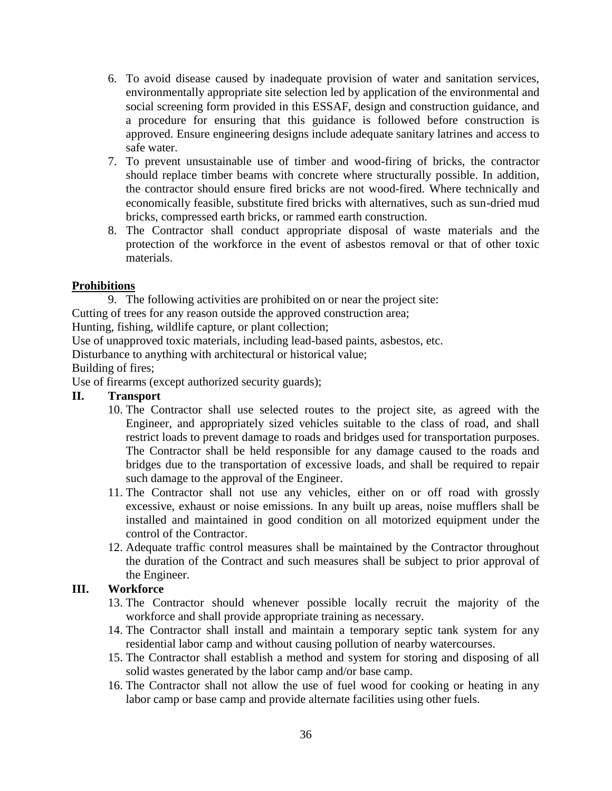- 6. To avoid disease caused by inadequate provision of water and sanitation services, environmentally appropriate site selection led by application of the environmental and social screening form provided in this ESSAF, design and construction guidance, and a procedure for ensuring that this guidance is followed before construction is approved. Ensure engineering designs include adequate sanitary latrines and access to safe water.
- 7. To prevent unsustainable use of timber and wood-firing of bricks, the contractor should replace timber beams with concrete where structurally possible. In addition, the contractor should ensure fired bricks are not wood-fired. Where technically and economically feasible, substitute fired bricks with alternatives, such as sun-dried mud bricks, compressed earth bricks, or rammed earth construction.
- 8. The Contractor shall conduct appropriate disposal of waste materials and the protection of the workforce in the event of asbestos removal or that of other toxic materials.

### **Prohibitions**

9. The following activities are prohibited on or near the project site:

Cutting of trees for any reason outside the approved construction area;

Hunting, fishing, wildlife capture, or plant collection;

Use of unapproved toxic materials, including lead-based paints, asbestos, etc.

Disturbance to anything with architectural or historical value;

Building of fires;

Use of firearms (except authorized security guards);

### **II. Transport**

- 10. The Contractor shall use selected routes to the project site, as agreed with the Engineer, and appropriately sized vehicles suitable to the class of road, and shall restrict loads to prevent damage to roads and bridges used for transportation purposes. The Contractor shall be held responsible for any damage caused to the roads and bridges due to the transportation of excessive loads, and shall be required to repair such damage to the approval of the Engineer.
- 11. The Contractor shall not use any vehicles, either on or off road with grossly excessive, exhaust or noise emissions. In any built up areas, noise mufflers shall be installed and maintained in good condition on all motorized equipment under the control of the Contractor.
- 12. Adequate traffic control measures shall be maintained by the Contractor throughout the duration of the Contract and such measures shall be subject to prior approval of the Engineer.

### **III. Workforce**

- 13. The Contractor should whenever possible locally recruit the majority of the workforce and shall provide appropriate training as necessary.
- 14. The Contractor shall install and maintain a temporary septic tank system for any residential labor camp and without causing pollution of nearby watercourses.
- 15. The Contractor shall establish a method and system for storing and disposing of all solid wastes generated by the labor camp and/or base camp.
- 16. The Contractor shall not allow the use of fuel wood for cooking or heating in any labor camp or base camp and provide alternate facilities using other fuels.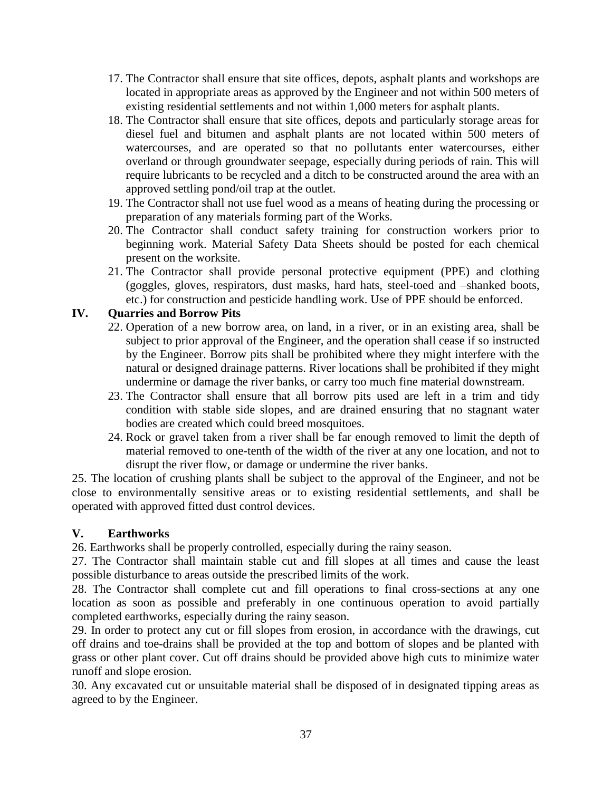- 17. The Contractor shall ensure that site offices, depots, asphalt plants and workshops are located in appropriate areas as approved by the Engineer and not within 500 meters of existing residential settlements and not within 1,000 meters for asphalt plants.
- 18. The Contractor shall ensure that site offices, depots and particularly storage areas for diesel fuel and bitumen and asphalt plants are not located within 500 meters of watercourses, and are operated so that no pollutants enter watercourses, either overland or through groundwater seepage, especially during periods of rain. This will require lubricants to be recycled and a ditch to be constructed around the area with an approved settling pond/oil trap at the outlet.
- 19. The Contractor shall not use fuel wood as a means of heating during the processing or preparation of any materials forming part of the Works.
- 20. The Contractor shall conduct safety training for construction workers prior to beginning work. Material Safety Data Sheets should be posted for each chemical present on the worksite.
- 21. The Contractor shall provide personal protective equipment (PPE) and clothing (goggles, gloves, respirators, dust masks, hard hats, steel-toed and –shanked boots, etc.) for construction and pesticide handling work. Use of PPE should be enforced.

### **IV. Quarries and Borrow Pits**

- 22. Operation of a new borrow area, on land, in a river, or in an existing area, shall be subject to prior approval of the Engineer, and the operation shall cease if so instructed by the Engineer. Borrow pits shall be prohibited where they might interfere with the natural or designed drainage patterns. River locations shall be prohibited if they might undermine or damage the river banks, or carry too much fine material downstream.
- 23. The Contractor shall ensure that all borrow pits used are left in a trim and tidy condition with stable side slopes, and are drained ensuring that no stagnant water bodies are created which could breed mosquitoes.
- 24. Rock or gravel taken from a river shall be far enough removed to limit the depth of material removed to one-tenth of the width of the river at any one location, and not to disrupt the river flow, or damage or undermine the river banks.

25. The location of crushing plants shall be subject to the approval of the Engineer, and not be close to environmentally sensitive areas or to existing residential settlements, and shall be operated with approved fitted dust control devices.

### **V. Earthworks**

26. Earthworks shall be properly controlled, especially during the rainy season.

27. The Contractor shall maintain stable cut and fill slopes at all times and cause the least possible disturbance to areas outside the prescribed limits of the work.

28. The Contractor shall complete cut and fill operations to final cross-sections at any one location as soon as possible and preferably in one continuous operation to avoid partially completed earthworks, especially during the rainy season.

29. In order to protect any cut or fill slopes from erosion, in accordance with the drawings, cut off drains and toe-drains shall be provided at the top and bottom of slopes and be planted with grass or other plant cover. Cut off drains should be provided above high cuts to minimize water runoff and slope erosion.

30. Any excavated cut or unsuitable material shall be disposed of in designated tipping areas as agreed to by the Engineer.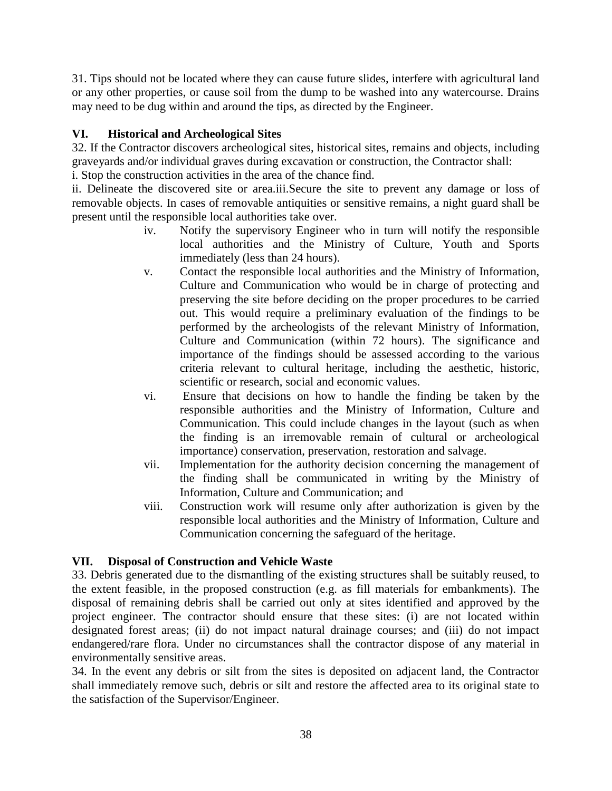31. Tips should not be located where they can cause future slides, interfere with agricultural land or any other properties, or cause soil from the dump to be washed into any watercourse. Drains may need to be dug within and around the tips, as directed by the Engineer.

### **VI. Historical and Archeological Sites**

32. If the Contractor discovers archeological sites, historical sites, remains and objects, including graveyards and/or individual graves during excavation or construction, the Contractor shall: i. Stop the construction activities in the area of the chance find.

ii. Delineate the discovered site or area.iii.Secure the site to prevent any damage or loss of removable objects. In cases of removable antiquities or sensitive remains, a night guard shall be present until the responsible local authorities take over.

- iv. Notify the supervisory Engineer who in turn will notify the responsible local authorities and the Ministry of Culture, Youth and Sports immediately (less than 24 hours).
- v. Contact the responsible local authorities and the Ministry of Information, Culture and Communication who would be in charge of protecting and preserving the site before deciding on the proper procedures to be carried out. This would require a preliminary evaluation of the findings to be performed by the archeologists of the relevant Ministry of Information, Culture and Communication (within 72 hours). The significance and importance of the findings should be assessed according to the various criteria relevant to cultural heritage, including the aesthetic, historic, scientific or research, social and economic values.
- vi. Ensure that decisions on how to handle the finding be taken by the responsible authorities and the Ministry of Information, Culture and Communication. This could include changes in the layout (such as when the finding is an irremovable remain of cultural or archeological importance) conservation, preservation, restoration and salvage.
- vii. Implementation for the authority decision concerning the management of the finding shall be communicated in writing by the Ministry of Information, Culture and Communication; and
- viii. Construction work will resume only after authorization is given by the responsible local authorities and the Ministry of Information, Culture and Communication concerning the safeguard of the heritage.

### **VII. Disposal of Construction and Vehicle Waste**

33. Debris generated due to the dismantling of the existing structures shall be suitably reused, to the extent feasible, in the proposed construction (e.g. as fill materials for embankments). The disposal of remaining debris shall be carried out only at sites identified and approved by the project engineer. The contractor should ensure that these sites: (i) are not located within designated forest areas; (ii) do not impact natural drainage courses; and (iii) do not impact endangered/rare flora. Under no circumstances shall the contractor dispose of any material in environmentally sensitive areas.

34. In the event any debris or silt from the sites is deposited on adjacent land, the Contractor shall immediately remove such, debris or silt and restore the affected area to its original state to the satisfaction of the Supervisor/Engineer.